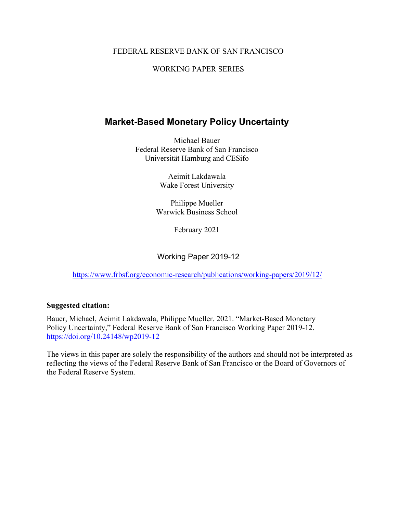#### FEDERAL RESERVE BANK OF SAN FRANCISCO

#### WORKING PAPER SERIES

## **Market-Based Monetary Policy Uncertainty**

Michael Bauer Federal Reserve Bank of San Francisco Universität Hamburg and CESifo

> Aeimit Lakdawala Wake Forest University

Philippe Mueller Warwick Business School

February 2021

Working Paper 2019-12

<https://www.frbsf.org/economic-research/publications/working-papers/2019/12/>

#### **Suggested citation:**

Bauer, Michael, Aeimit Lakdawala, Philippe Mueller. 2021. "Market-Based Monetary Policy Uncertainty," Federal Reserve Bank of San Francisco Working Paper 2019-12. https://doi.org/10.24148/wp2019-12

The views in this paper are solely the responsibility of the authors and should not be interpreted as reflecting the views of the Federal Reserve Bank of San Francisco or the Board of Governors of the Federal Reserve System.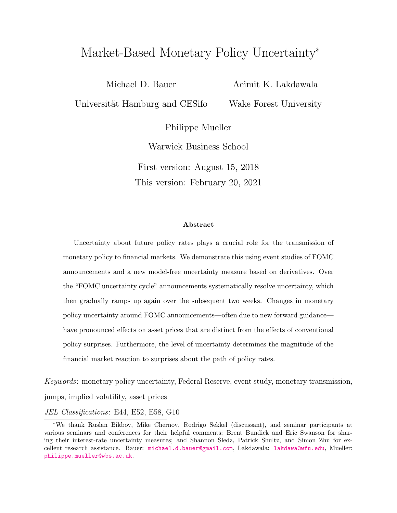# Market-Based Monetary Policy Uncertainty\*

Michael D. Bauer Universität Hamburg and CESifo Aeimit K. Lakdawala Wake Forest University

Philippe Mueller

Warwick Business School

First version: August 15, 2018 This version: February 20, 2021

#### Abstract

Uncertainty about future policy rates plays a crucial role for the transmission of monetary policy to financial markets. We demonstrate this using event studies of FOMC announcements and a new model-free uncertainty measure based on derivatives. Over the "FOMC uncertainty cycle" announcements systematically resolve uncertainty, which then gradually ramps up again over the subsequent two weeks. Changes in monetary policy uncertainty around FOMC announcements—often due to new forward guidance have pronounced effects on asset prices that are distinct from the effects of conventional policy surprises. Furthermore, the level of uncertainty determines the magnitude of the financial market reaction to surprises about the path of policy rates.

Keywords: monetary policy uncertainty, Federal Reserve, event study, monetary transmission, jumps, implied volatility, asset prices

#### JEL Classifications: E44, E52, E58, G10

<sup>\*</sup>We thank Ruslan Bikbov, Mike Chernov, Rodrigo Sekkel (discussant), and seminar participants at various seminars and conferences for their helpful comments; Brent Bundick and Eric Swanson for sharing their interest-rate uncertainty measures; and Shannon Sledz, Patrick Shultz, and Simon Zhu for excellent research assistance. Bauer: [michael.d.bauer@gmail.com](mailto:michael.d.bauer@gmail.com), Lakdawala: [lakdawa@wfu.edu](mailto:lakdawa@wfu.edu), Mueller: [philippe.mueller@wbs.ac.uk](mailto:Philippe.Mueller@wbs.ac.uk).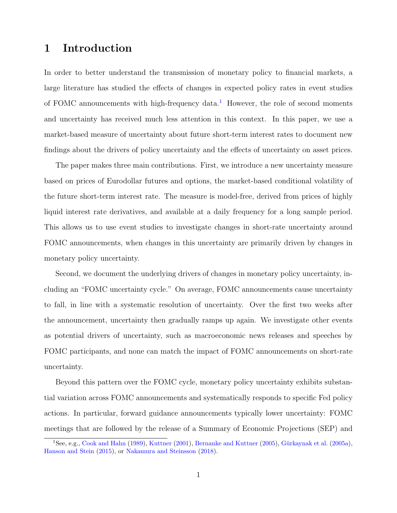# 1 Introduction

In order to better understand the transmission of monetary policy to financial markets, a large literature has studied the effects of changes in expected policy rates in event studies of FOMC announcements with high-frequency data.<sup>[1](#page-2-0)</sup> However, the role of second moments and uncertainty has received much less attention in this context. In this paper, we use a market-based measure of uncertainty about future short-term interest rates to document new findings about the drivers of policy uncertainty and the effects of uncertainty on asset prices.

The paper makes three main contributions. First, we introduce a new uncertainty measure based on prices of Eurodollar futures and options, the market-based conditional volatility of the future short-term interest rate. The measure is model-free, derived from prices of highly liquid interest rate derivatives, and available at a daily frequency for a long sample period. This allows us to use event studies to investigate changes in short-rate uncertainty around FOMC announcements, when changes in this uncertainty are primarily driven by changes in monetary policy uncertainty.

Second, we document the underlying drivers of changes in monetary policy uncertainty, including an "FOMC uncertainty cycle." On average, FOMC announcements cause uncertainty to fall, in line with a systematic resolution of uncertainty. Over the first two weeks after the announcement, uncertainty then gradually ramps up again. We investigate other events as potential drivers of uncertainty, such as macroeconomic news releases and speeches by FOMC participants, and none can match the impact of FOMC announcements on short-rate uncertainty.

Beyond this pattern over the FOMC cycle, monetary policy uncertainty exhibits substantial variation across FOMC announcements and systematically responds to specific Fed policy actions. In particular, forward guidance announcements typically lower uncertainty: FOMC meetings that are followed by the release of a Summary of Economic Projections (SEP) and

<span id="page-2-0"></span><sup>&</sup>lt;sup>1</sup>See, e.g., [Cook and Hahn](#page-28-0) [\(1989\)](#page-28-0), [Kuttner](#page-30-0) [\(2001\)](#page-30-0), [Bernanke and Kuttner](#page-27-0) [\(2005\)](#page-27-0), Gürkaynak et al. [\(2005a\)](#page-29-0), [Hanson and Stein](#page-29-1) [\(2015\)](#page-29-1), or [Nakamura and Steinsson](#page-30-1) [\(2018\)](#page-30-1).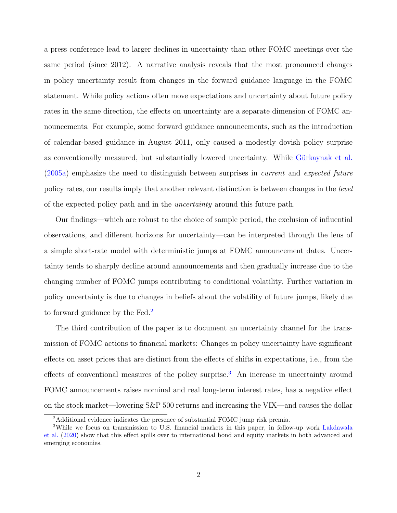a press conference lead to larger declines in uncertainty than other FOMC meetings over the same period (since 2012). A narrative analysis reveals that the most pronounced changes in policy uncertainty result from changes in the forward guidance language in the FOMC statement. While policy actions often move expectations and uncertainty about future policy rates in the same direction, the effects on uncertainty are a separate dimension of FOMC announcements. For example, some forward guidance announcements, such as the introduction of calendar-based guidance in August 2011, only caused a modestly dovish policy surprise as conventionally measured, but substantially lowered uncertainty. While Gürkaynak et al. [\(2005a\)](#page-29-0) emphasize the need to distinguish between surprises in current and expected future policy rates, our results imply that another relevant distinction is between changes in the level of the expected policy path and in the uncertainty around this future path.

Our findings—which are robust to the choice of sample period, the exclusion of influential observations, and different horizons for uncertainty—can be interpreted through the lens of a simple short-rate model with deterministic jumps at FOMC announcement dates. Uncertainty tends to sharply decline around announcements and then gradually increase due to the changing number of FOMC jumps contributing to conditional volatility. Further variation in policy uncertainty is due to changes in beliefs about the volatility of future jumps, likely due to forward guidance by the Fed.<sup>[2](#page-3-0)</sup>

The third contribution of the paper is to document an uncertainty channel for the transmission of FOMC actions to financial markets: Changes in policy uncertainty have significant effects on asset prices that are distinct from the effects of shifts in expectations, i.e., from the effects of conventional measures of the policy surprise.<sup>[3](#page-3-1)</sup> An increase in uncertainty around FOMC announcements raises nominal and real long-term interest rates, has a negative effect on the stock market—lowering S&P 500 returns and increasing the VIX—and causes the dollar

<span id="page-3-1"></span><span id="page-3-0"></span><sup>&</sup>lt;sup>2</sup>Additional evidence indicates the presence of substantial FOMC jump risk premia.

<sup>&</sup>lt;sup>3</sup>While we focus on transmission to U.S. financial markets in this paper, in follow-up work [Lakdawala](#page-30-2) [et al.](#page-30-2) [\(2020\)](#page-30-2) show that this effect spills over to international bond and equity markets in both advanced and emerging economies.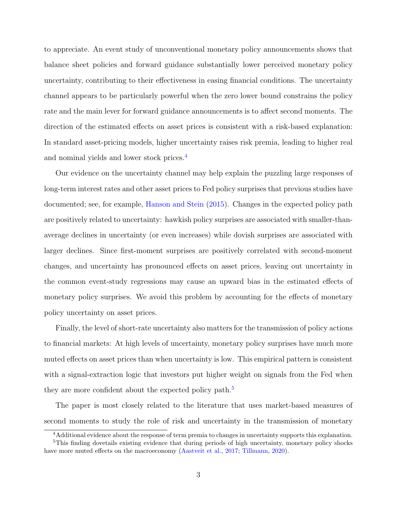to appreciate. An event study of unconventional monetary policy announcements shows that balance sheet policies and forward guidance substantially lower perceived monetary policy uncertainty, contributing to their effectiveness in easing financial conditions. The uncertainty channel appears to be particularly powerful when the zero lower bound constrains the policy rate and the main lever for forward guidance announcements is to affect second moments. The direction of the estimated effects on asset prices is consistent with a risk-based explanation: In standard asset-pricing models, higher uncertainty raises risk premia, leading to higher real and nominal yields and lower stock prices.[4](#page-4-0)

Our evidence on the uncertainty channel may help explain the puzzling large responses of long-term interest rates and other asset prices to Fed policy surprises that previous studies have documented; see, for example, [Hanson and Stein](#page-29-1) [\(2015\)](#page-29-1). Changes in the expected policy path are positively related to uncertainty: hawkish policy surprises are associated with smaller-thanaverage declines in uncertainty (or even increases) while dovish surprises are associated with larger declines. Since first-moment surprises are positively correlated with second-moment changes, and uncertainty has pronounced effects on asset prices, leaving out uncertainty in the common event-study regressions may cause an upward bias in the estimated effects of monetary policy surprises. We avoid this problem by accounting for the effects of monetary policy uncertainty on asset prices.

Finally, the level of short-rate uncertainty also matters for the transmission of policy actions to financial markets: At high levels of uncertainty, monetary policy surprises have much more muted effects on asset prices than when uncertainty is low. This empirical pattern is consistent with a signal-extraction logic that investors put higher weight on signals from the Fed when they are more confident about the expected policy path.<sup>[5](#page-4-1)</sup>

The paper is most closely related to the literature that uses market-based measures of second moments to study the role of risk and uncertainty in the transmission of monetary

<span id="page-4-1"></span><span id="page-4-0"></span><sup>&</sup>lt;sup>4</sup>Additional evidence about the response of term premia to changes in uncertainty supports this explanation.

<sup>&</sup>lt;sup>5</sup>This finding dovetails existing evidence that during periods of high uncertainty, monetary policy shocks have more muted effects on the macroeconomy [\(Aastveit et al.,](#page-26-0) [2017;](#page-26-0) [Tillmann,](#page-31-0) [2020\)](#page-31-0).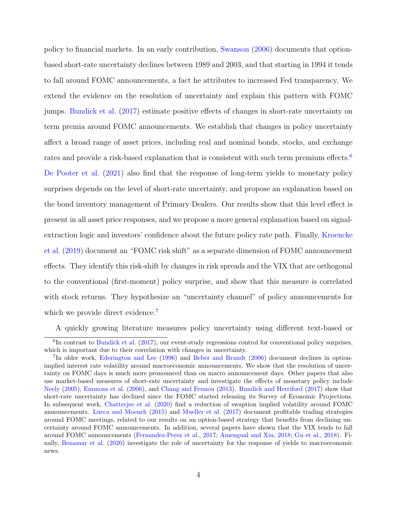policy to financial markets. In an early contribution, [Swanson](#page-31-1) [\(2006\)](#page-31-1) documents that optionbased short-rate uncertainty declines between 1989 and 2003, and that starting in 1994 it tends to fall around FOMC announcements, a fact he attributes to increased Fed transparency. We extend the evidence on the resolution of uncertainty and explain this pattern with FOMC jumps. [Bundick et al.](#page-28-1) [\(2017\)](#page-28-1) estimate positive effects of changes in short-rate uncertainty on term premia around FOMC announcements. We establish that changes in policy uncertainty affect a broad range of asset prices, including real and nominal bonds, stocks, and exchange rates and provide a risk-based explanation that is consistent with such term premium effects.<sup>[6](#page-5-0)</sup> [De Pooter et al.](#page-28-2) [\(2021\)](#page-28-2) also find that the response of long-term yields to monetary policy surprises depends on the level of short-rate uncertainty, and propose an explanation based on the bond inventory management of Primary Dealers. Our results show that this level effect is present in all asset price responses, and we propose a more general explanation based on signalextraction logic and investors' confidence about the future policy rate path. Finally, [Kroencke](#page-30-3) [et al.](#page-30-3) [\(2019\)](#page-30-3) document an "FOMC risk shift" as a separate dimension of FOMC announcement effects. They identify this risk-shift by changes in risk spreads and the VIX that are orthogonal to the conventional (first-moment) policy surprise, and show that this measure is correlated with stock returns. They hypothesize an "uncertainty channel" of policy announcements for which we provide direct evidence.<sup>[7](#page-5-1)</sup>

A quickly growing literature measures policy uncertainty using different text-based or

<span id="page-5-0"></span><sup>&</sup>lt;sup>6</sup>In contrast to [Bundick et al.](#page-28-1) [\(2017\)](#page-28-1), our event-study regressions control for conventional policy surprises, which is important due to their correlation with changes in uncertainty.

<span id="page-5-1"></span><sup>&</sup>lt;sup>7</sup>In older work, [Ederington and Lee](#page-28-3) [\(1996\)](#page-28-3) and [Beber and Brandt](#page-27-1) [\(2006\)](#page-27-1) document declines in optionimplied interest rate volatility around macroeconomic announcements. We show that the resolution of uncertainty on FOMC days is much more pronounced than on macro announcement days. Other papers that also use market-based measures of short-rate uncertainty and investigate the effects of monetary policy include [Neely](#page-30-4) [\(2005\)](#page-30-4), [Emmons et al.](#page-29-2) [\(2006\)](#page-29-2), and [Chang and Feunou](#page-28-4) [\(2013\)](#page-28-4). [Bundick and Herriford](#page-28-5) [\(2017\)](#page-28-5) show that short-rate uncertainty has declined since the FOMC started releasing its Survey of Economic Projections. In subsequent work, [Chatterjee et al.](#page-28-6) [\(2020\)](#page-28-6) find a reduction of swaption implied volatility around FOMC announcements. [Lucca and Moench](#page-30-5) [\(2015\)](#page-30-5) and [Mueller et al.](#page-30-6) [\(2017\)](#page-30-6) document profitable trading strategies around FOMC meetings, related to our results on an option-based strategy that benefits from declining uncertainty around FOMC announcements. In addition, several papers have shown that the VIX tends to fall around FOMC announcements [\(Fernandez-Perez et al.,](#page-29-3) [2017;](#page-29-3) [Amengual and Xiu,](#page-27-2) [2018;](#page-27-2) [Gu et al.,](#page-29-4) [2018\)](#page-29-4). Finally, [Benamar et al.](#page-27-3) [\(2020\)](#page-27-3) investigate the role of uncertainty for the response of yields to macroeconomic news.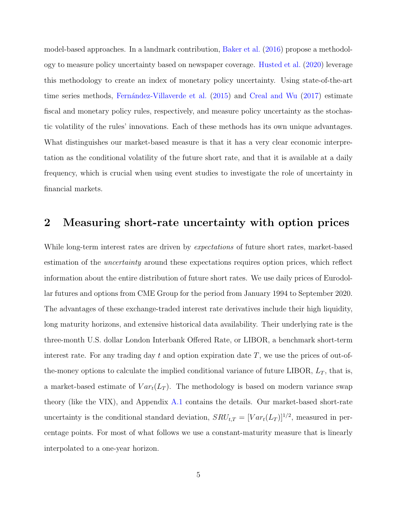model-based approaches. In a landmark contribution, [Baker et al.](#page-27-4) [\(2016\)](#page-27-4) propose a methodology to measure policy uncertainty based on newspaper coverage. [Husted et al.](#page-29-5) [\(2020\)](#page-29-5) leverage this methodology to create an index of monetary policy uncertainty. Using state-of-the-art time series methods, Fernández-Villaverde et al. [\(2015\)](#page-29-6) and [Creal and Wu](#page-28-7) [\(2017\)](#page-28-7) estimate fiscal and monetary policy rules, respectively, and measure policy uncertainty as the stochastic volatility of the rules' innovations. Each of these methods has its own unique advantages. What distinguishes our market-based measure is that it has a very clear economic interpretation as the conditional volatility of the future short rate, and that it is available at a daily frequency, which is crucial when using event studies to investigate the role of uncertainty in financial markets.

## <span id="page-6-0"></span>2 Measuring short-rate uncertainty with option prices

While long-term interest rates are driven by *expectations* of future short rates, market-based estimation of the *uncertainty* around these expectations requires option prices, which reflect information about the entire distribution of future short rates. We use daily prices of Eurodollar futures and options from CME Group for the period from January 1994 to September 2020. The advantages of these exchange-traded interest rate derivatives include their high liquidity, long maturity horizons, and extensive historical data availability. Their underlying rate is the three-month U.S. dollar London Interbank Offered Rate, or LIBOR, a benchmark short-term interest rate. For any trading day t and option expiration date  $T$ , we use the prices of out-ofthe-money options to calculate the implied conditional variance of future LIBOR,  $L_T$ , that is, a market-based estimate of  $Var_t(L_T)$ . The methodology is based on modern variance swap theory (like the VIX), and Appendix  $A.1$  contains the details. Our market-based short-rate uncertainty is the conditional standard deviation,  $SRU_{t,T} = [Var_t(L_T)]^{1/2}$ , measured in percentage points. For most of what follows we use a constant-maturity measure that is linearly interpolated to a one-year horizon.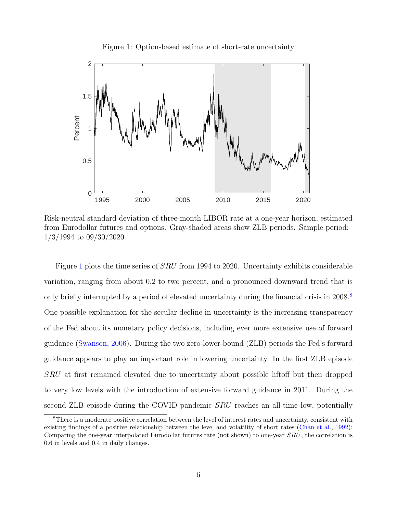<span id="page-7-0"></span>



Risk-neutral standard deviation of three-month LIBOR rate at a one-year horizon, estimated from Eurodollar futures and options. Gray-shaded areas show ZLB periods. Sample period: 1/3/1994 to 09/30/2020.

Figure [1](#page-7-0) plots the time series of SRU from 1994 to 2020. Uncertainty exhibits considerable variation, ranging from about 0.2 to two percent, and a pronounced downward trend that is only briefly interrupted by a period of elevated uncertainty during the financial crisis in  $2008$  $2008$ .<sup>8</sup> One possible explanation for the secular decline in uncertainty is the increasing transparency of the Fed about its monetary policy decisions, including ever more extensive use of forward guidance [\(Swanson,](#page-31-1) [2006\)](#page-31-1). During the two zero-lower-bound (ZLB) periods the Fed's forward guidance appears to play an important role in lowering uncertainty. In the first ZLB episode SRU at first remained elevated due to uncertainty about possible liftoff but then dropped to very low levels with the introduction of extensive forward guidance in 2011. During the second ZLB episode during the COVID pandemic *SRU* reaches an all-time low, potentially

<span id="page-7-1"></span><sup>8</sup>There is a moderate positive correlation between the level of interest rates and uncertainty, consistent with existing findings of a positive relationship between the level and volatility of short rates [\(Chan et al.,](#page-28-8) [1992\)](#page-28-8): Comparing the one-year interpolated Eurodollar futures rate (not shown) to one-year SRU, the correlation is 0.6 in levels and 0.4 in daily changes.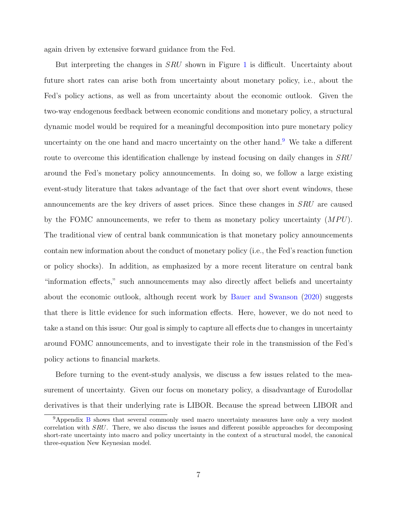again driven by extensive forward guidance from the Fed.

But interpreting the changes in *SRU* shown in Figure [1](#page-7-0) is difficult. Uncertainty about future short rates can arise both from uncertainty about monetary policy, i.e., about the Fed's policy actions, as well as from uncertainty about the economic outlook. Given the two-way endogenous feedback between economic conditions and monetary policy, a structural dynamic model would be required for a meaningful decomposition into pure monetary policy uncertainty on the one hand and macro uncertainty on the other hand.[9](#page-8-0) We take a different route to overcome this identification challenge by instead focusing on daily changes in SRU around the Fed's monetary policy announcements. In doing so, we follow a large existing event-study literature that takes advantage of the fact that over short event windows, these announcements are the key drivers of asset prices. Since these changes in SRU are caused by the FOMC announcements, we refer to them as monetary policy uncertainty  $(MPU)$ . The traditional view of central bank communication is that monetary policy announcements contain new information about the conduct of monetary policy (i.e., the Fed's reaction function or policy shocks). In addition, as emphasized by a more recent literature on central bank "information effects," such announcements may also directly affect beliefs and uncertainty about the economic outlook, although recent work by [Bauer and Swanson](#page-27-5) [\(2020\)](#page-27-5) suggests that there is little evidence for such information effects. Here, however, we do not need to take a stand on this issue: Our goal is simply to capture all effects due to changes in uncertainty around FOMC announcements, and to investigate their role in the transmission of the Fed's policy actions to financial markets.

Before turning to the event-study analysis, we discuss a few issues related to the measurement of uncertainty. Given our focus on monetary policy, a disadvantage of Eurodollar derivatives is that their underlying rate is LIBOR. Because the spread between LIBOR and

<span id="page-8-0"></span><sup>&</sup>lt;sup>9</sup>Appendix [B](#page-37-0) shows that several commonly used macro uncertainty measures have only a very modest correlation with SRU. There, we also discuss the issues and different possible approaches for decomposing short-rate uncertainty into macro and policy uncertainty in the context of a structural model, the canonical three-equation New Keynesian model.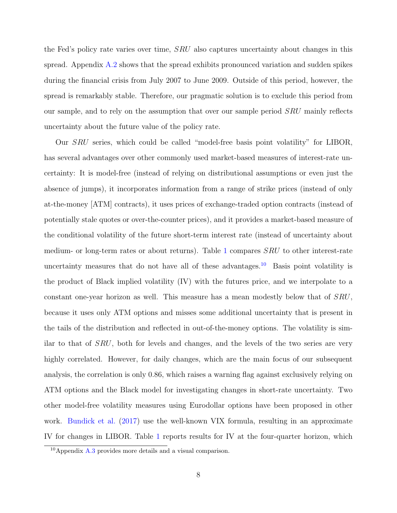the Fed's policy rate varies over time, SRU also captures uncertainty about changes in this spread. Appendix [A.2](#page-33-0) shows that the spread exhibits pronounced variation and sudden spikes during the financial crisis from July 2007 to June 2009. Outside of this period, however, the spread is remarkably stable. Therefore, our pragmatic solution is to exclude this period from our sample, and to rely on the assumption that over our sample period SRU mainly reflects uncertainty about the future value of the policy rate.

Our SRU series, which could be called "model-free basis point volatility" for LIBOR, has several advantages over other commonly used market-based measures of interest-rate uncertainty: It is model-free (instead of relying on distributional assumptions or even just the absence of jumps), it incorporates information from a range of strike prices (instead of only at-the-money [ATM] contracts), it uses prices of exchange-traded option contracts (instead of potentially stale quotes or over-the-counter prices), and it provides a market-based measure of the conditional volatility of the future short-term interest rate (instead of uncertainty about medium- or long-term rates or about returns). Table [1](#page-10-0) compares SRU to other interest-rate uncertainty measures that do not have all of these advantages.<sup>[10](#page-9-0)</sup> Basis point volatility is the product of Black implied volatility (IV) with the futures price, and we interpolate to a constant one-year horizon as well. This measure has a mean modestly below that of SRU, because it uses only ATM options and misses some additional uncertainty that is present in the tails of the distribution and reflected in out-of-the-money options. The volatility is similar to that of SRU, both for levels and changes, and the levels of the two series are very highly correlated. However, for daily changes, which are the main focus of our subsequent analysis, the correlation is only 0.86, which raises a warning flag against exclusively relying on ATM options and the Black model for investigating changes in short-rate uncertainty. Two other model-free volatility measures using Eurodollar options have been proposed in other work. [Bundick et al.](#page-28-1)  $(2017)$  use the well-known VIX formula, resulting in an approximate IV for changes in LIBOR. Table [1](#page-10-0) reports results for IV at the four-quarter horizon, which

<span id="page-9-0"></span><sup>10</sup>Appendix [A.3](#page-36-0) provides more details and a visual comparison.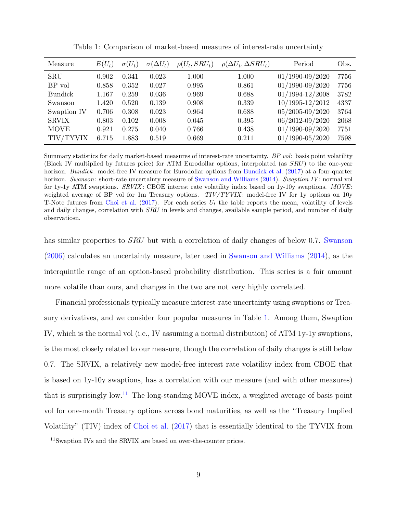| Measure        | $E(U_t)$ | $\sigma(U_t)$ | $\sigma(\Delta U_t)$ | $\rho(U_t, SRU_t)$ | $\rho(\Delta U_t, \Delta SRU_t)$ | Period              | Obs. |
|----------------|----------|---------------|----------------------|--------------------|----------------------------------|---------------------|------|
| <b>SRU</b>     | 0.902    | 0.341         | 0.023                | 1.000              | 1.000                            | $01/1990 - 09/2020$ | 7756 |
| BP vol         | 0.858    | 0.352         | 0.027                | 0.995              | 0.861                            | 01/1990-09/2020     | 7756 |
| <b>Bundick</b> | 1.167    | 0.259         | 0.036                | 0.969              | 0.688                            | $01/1994 - 12/2008$ | 3782 |
| Swanson        | 1.420    | 0.520         | 0.139                | 0.908              | 0.339                            | 10/1995-12/2012     | 4337 |
| Swaption IV    | 0.706    | 0.308         | 0.023                | 0.964              | 0.688                            | 05/2005-09/2020     | 3764 |
| <b>SRVIX</b>   | 0.803    | 0.102         | 0.008                | 0.045              | 0.395                            | 06/2012-09/2020     | 2068 |
| <b>MOVE</b>    | 0.921    | 0.275         | 0.040                | 0.766              | 0.438                            | $01/1990 - 09/2020$ | 7751 |
| TIV/TYVIX      | 6.715    | 1.883         | 0.519                | 0.669              | 0.211                            | $01/1990 - 05/2020$ | 7598 |

<span id="page-10-0"></span>Table 1: Comparison of market-based measures of interest-rate uncertainty

Summary statistics for daily market-based measures of interest-rate uncertainty. BP vol: basis point volatility (Black IV multiplied by futures price) for ATM Eurodollar options, interpolated (as SRU) to the one-year horizon. Bundick: model-free IV measure for Eurodollar options from [Bundick et al.](#page-28-1) [\(2017\)](#page-28-1) at a four-quarter horizon. Swanson: short-rate uncertainty measure of [Swanson and Williams](#page-31-2) [\(2014\)](#page-31-2). Swaption IV: normal vol for 1y-1y ATM swaptions. SRVIX: CBOE interest rate volatility index based on 1y-10y swaptions. MOVE: weighted average of BP vol for 1m Treasury options.  $TIV/TYVIX$ : model-free IV for 1y options on 10y T-Note futures from [Choi et al.](#page-28-9) [\(2017\)](#page-28-9). For each series  $U_t$  the table reports the mean, volatility of levels and daily changes, correlation with SRU in levels and changes, available sample period, and number of daily observatiosn.

has similar properties to *SRU* but with a correlation of daily changes of below 0.7. [Swanson](#page-31-1) [\(2006\)](#page-31-1) calculates an uncertainty measure, later used in [Swanson and Williams](#page-31-2) [\(2014\)](#page-31-2), as the interquintile range of an option-based probability distribution. This series is a fair amount more volatile than ours, and changes in the two are not very highly correlated.

Financial professionals typically measure interest-rate uncertainty using swaptions or Treasury derivatives, and we consider four popular measures in Table [1.](#page-10-0) Among them, Swaption IV, which is the normal vol (i.e., IV assuming a normal distribution) of ATM 1y-1y swaptions, is the most closely related to our measure, though the correlation of daily changes is still below 0.7. The SRVIX, a relatively new model-free interest rate volatility index from CBOE that is based on 1y-10y swaptions, has a correlation with our measure (and with other measures) that is surprisingly low.<sup>[11](#page-10-1)</sup> The long-standing MOVE index, a weighted average of basis point vol for one-month Treasury options across bond maturities, as well as the "Treasury Implied Volatility" (TIV) index of [Choi et al.](#page-28-9) [\(2017\)](#page-28-9) that is essentially identical to the TYVIX from

<span id="page-10-1"></span><sup>&</sup>lt;sup>11</sup>Swaption IVs and the SRVIX are based on over-the-counter prices.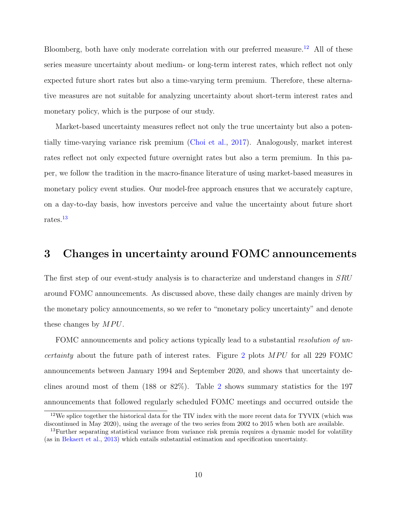Bloomberg, both have only moderate correlation with our preferred measure.<sup>[12](#page-11-0)</sup> All of these series measure uncertainty about medium- or long-term interest rates, which reflect not only expected future short rates but also a time-varying term premium. Therefore, these alternative measures are not suitable for analyzing uncertainty about short-term interest rates and monetary policy, which is the purpose of our study.

Market-based uncertainty measures reflect not only the true uncertainty but also a potentially time-varying variance risk premium [\(Choi et al.,](#page-28-9) [2017\)](#page-28-9). Analogously, market interest rates reflect not only expected future overnight rates but also a term premium. In this paper, we follow the tradition in the macro-finance literature of using market-based measures in monetary policy event studies. Our model-free approach ensures that we accurately capture, on a day-to-day basis, how investors perceive and value the uncertainty about future short rates.[13](#page-11-1)

## <span id="page-11-2"></span>3 Changes in uncertainty around FOMC announcements

The first step of our event-study analysis is to characterize and understand changes in SRU around FOMC announcements. As discussed above, these daily changes are mainly driven by the monetary policy announcements, so we refer to "monetary policy uncertainty" and denote these changes by  $MPU$ .

FOMC announcements and policy actions typically lead to a substantial resolution of un*certainty* about the future path of interest rates. Figure [2](#page-12-0) plots  $MPU$  for all 229 FOMC announcements between January 1994 and September 2020, and shows that uncertainty declines around most of them (188 or 82%). Table [2](#page-13-0) shows summary statistics for the 197 announcements that followed regularly scheduled FOMC meetings and occurred outside the

<span id="page-11-0"></span><sup>&</sup>lt;sup>12</sup>We splice together the historical data for the TIV index with the more recent data for TYVIX (which was discontinued in May 2020), using the average of the two series from 2002 to 2015 when both are available.

<span id="page-11-1"></span><sup>&</sup>lt;sup>13</sup>Further separating statistical variance from variance risk premia requires a dynamic model for volatility (as in [Bekaert et al.,](#page-27-6) [2013\)](#page-27-6) which entails substantial estimation and specification uncertainty.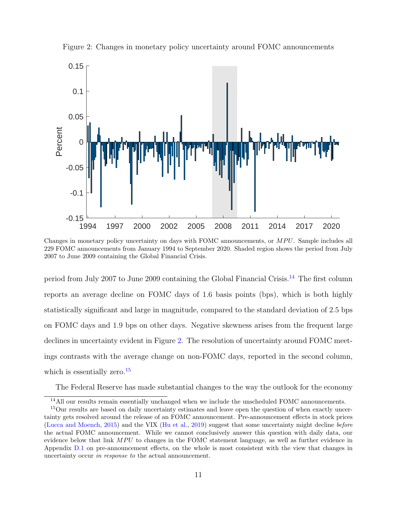

<span id="page-12-0"></span>Figure 2: Changes in monetary policy uncertainty around FOMC announcements

Changes in monetary policy uncertainty on days with FOMC announcements, or MPU. Sample includes all 229 FOMC announcements from January 1994 to September 2020. Shaded region shows the period from July 2007 to June 2009 containing the Global Financial Crisis.

period from July 2007 to June 2009 containing the Global Financial Crisis.[14](#page-12-1) The first column reports an average decline on FOMC days of 1.6 basis points (bps), which is both highly statistically significant and large in magnitude, compared to the standard deviation of 2.5 bps on FOMC days and 1.9 bps on other days. Negative skewness arises from the frequent large declines in uncertainty evident in Figure [2.](#page-12-0) The resolution of uncertainty around FOMC meetings contrasts with the average change on non-FOMC days, reported in the second column, which is essentially zero.<sup>[15](#page-12-2)</sup>

The Federal Reserve has made substantial changes to the way the outlook for the economy

<span id="page-12-2"></span><span id="page-12-1"></span><sup>&</sup>lt;sup>14</sup>All our results remain essentially unchanged when we include the unscheduled FOMC announcements.

<sup>15</sup>Our results are based on daily uncertainty estimates and leave open the question of when exactly uncertainty gets resolved around the release of an FOMC announcement. Pre-announcement effects in stock prices [\(Lucca and Moench,](#page-30-5) [2015\)](#page-30-5) and the VIX [\(Hu et al.,](#page-29-7) [2019\)](#page-29-7) suggest that some uncertainty might decline before the actual FOMC announcement. While we cannot conclusively answer this question with daily data, our evidence below that link  $MPU$  to changes in the FOMC statement language, as well as further evidence in Appendix [D.1](#page-46-0) on pre-announcement effects, on the whole is most consistent with the view that changes in uncertainty occur in response to the actual announcement.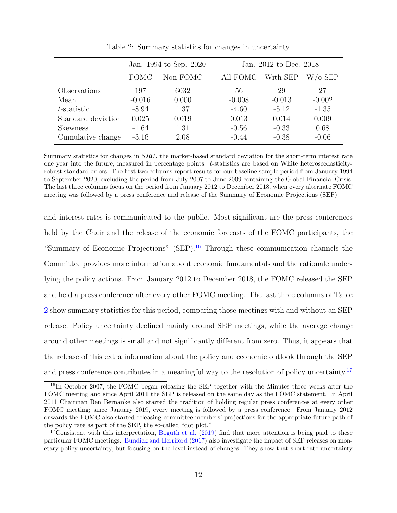|                    |             | Jan. 1994 to Sep. 2020 |          | Jan. 2012 to Dec. 2018 |          |  |  |
|--------------------|-------------|------------------------|----------|------------------------|----------|--|--|
|                    | <b>FOMC</b> | Non-FOMC               | All FOMC | With SEP               | W/o SEP  |  |  |
| Observations       | 197         | 6032                   | 56       | 29                     | 27       |  |  |
| Mean               | $-0.016$    | 0.000                  | $-0.008$ | $-0.013$               | $-0.002$ |  |  |
| $t$ -statistic     | $-8.94$     | 1.37                   | $-4.60$  | $-5.12$                | $-1.35$  |  |  |
| Standard deviation | 0.025       | 0.019                  | 0.013    | 0.014                  | 0.009    |  |  |
| <b>Skewness</b>    | $-1.64$     | 1.31                   | $-0.56$  | $-0.33$                | 0.68     |  |  |
| Cumulative change  | $-3.16$     | 2.08                   | $-0.44$  | $-0.38$                | $-0.06$  |  |  |

<span id="page-13-0"></span>Table 2: Summary statistics for changes in uncertainty

Summary statistics for changes in SRU, the market-based standard deviation for the short-term interest rate one year into the future, measured in percentage points. t-statistics are based on White heteroscedasticityrobust standard errors. The first two columns report results for our baseline sample period from January 1994 to September 2020, excluding the period from July 2007 to June 2009 containing the Global Financial Crisis. The last three columns focus on the period from January 2012 to December 2018, when every alternate FOMC meeting was followed by a press conference and release of the Summary of Economic Projections (SEP).

and interest rates is communicated to the public. Most significant are the press conferences held by the Chair and the release of the economic forecasts of the FOMC participants, the "Summary of Economic Projections" (SEP).<sup>[16](#page-13-1)</sup> Through these communication channels the Committee provides more information about economic fundamentals and the rationale underlying the policy actions. From January 2012 to December 2018, the FOMC released the SEP and held a press conference after every other FOMC meeting. The last three columns of Table [2](#page-13-0) show summary statistics for this period, comparing those meetings with and without an SEP release. Policy uncertainty declined mainly around SEP meetings, while the average change around other meetings is small and not significantly different from zero. Thus, it appears that the release of this extra information about the policy and economic outlook through the SEP and press conference contributes in a meaningful way to the resolution of policy uncertainty.<sup>[17](#page-13-2)</sup>

<span id="page-13-1"></span><sup>&</sup>lt;sup>16</sup>In October 2007, the FOMC began releasing the SEP together with the Minutes three weeks after the FOMC meeting and since April 2011 the SEP is released on the same day as the FOMC statement. In April 2011 Chairman Ben Bernanke also started the tradition of holding regular press conferences at every other FOMC meeting; since January 2019, every meeting is followed by a press conference. From January 2012 onwards the FOMC also started releasing committee members' projections for the appropriate future path of the policy rate as part of the SEP, the so-called "dot plot."

<span id="page-13-2"></span><sup>&</sup>lt;sup>17</sup>Consistent with this interpretation, [Boguth et al.](#page-28-10)  $(2019)$  find that more attention is being paid to these particular FOMC meetings. [Bundick and Herriford](#page-28-5) [\(2017\)](#page-28-5) also investigate the impact of SEP releases on monetary policy uncertainty, but focusing on the level instead of changes: They show that short-rate uncertainty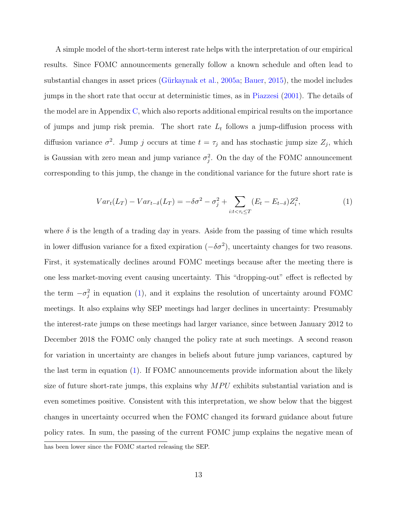A simple model of the short-term interest rate helps with the interpretation of our empirical results. Since FOMC announcements generally follow a known schedule and often lead to substantial changes in asset prices (Gürkaynak et al., [2005a;](#page-29-0) [Bauer,](#page-27-7) [2015\)](#page-27-7), the model includes jumps in the short rate that occur at deterministic times, as in [Piazzesi](#page-31-3) [\(2001\)](#page-31-3). The details of the model are in Appendix [C,](#page-40-0) which also reports additional empirical results on the importance of jumps and jump risk premia. The short rate  $L_t$  follows a jump-diffusion process with diffusion variance  $\sigma^2$ . Jump j occurs at time  $t = \tau_j$  and has stochastic jump size  $Z_j$ , which is Gaussian with zero mean and jump variance  $\sigma_j^2$ . On the day of the FOMC announcement corresponding to this jump, the change in the conditional variance for the future short rate is

<span id="page-14-0"></span>
$$
Var_t(L_T) - Var_{t-\delta}(L_T) = -\delta\sigma^2 - \sigma_j^2 + \sum_{i:t < \tau_i \le T} (E_t - E_{t-\delta})Z_i^2,
$$
\n<sup>(1)</sup>

where  $\delta$  is the length of a trading day in years. Aside from the passing of time which results in lower diffusion variance for a fixed expiration  $(-\delta \sigma^2)$ , uncertainty changes for two reasons. First, it systematically declines around FOMC meetings because after the meeting there is one less market-moving event causing uncertainty. This "dropping-out" effect is reflected by the term  $-\sigma_j^2$  in equation [\(1\)](#page-14-0), and it explains the resolution of uncertainty around FOMC meetings. It also explains why SEP meetings had larger declines in uncertainty: Presumably the interest-rate jumps on these meetings had larger variance, since between January 2012 to December 2018 the FOMC only changed the policy rate at such meetings. A second reason for variation in uncertainty are changes in beliefs about future jump variances, captured by the last term in equation [\(1\)](#page-14-0). If FOMC announcements provide information about the likely size of future short-rate jumps, this explains why  $MPU$  exhibits substantial variation and is even sometimes positive. Consistent with this interpretation, we show below that the biggest changes in uncertainty occurred when the FOMC changed its forward guidance about future policy rates. In sum, the passing of the current FOMC jump explains the negative mean of has been lower since the FOMC started releasing the SEP.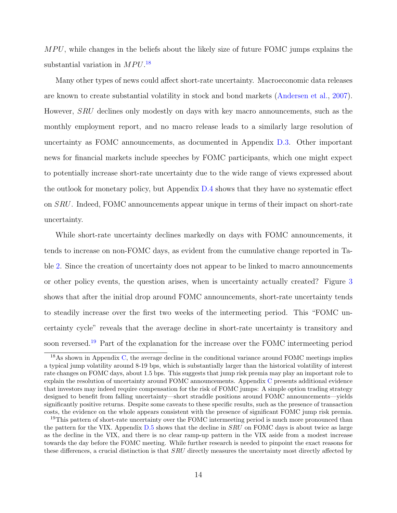$MPU$ , while changes in the beliefs about the likely size of future FOMC jumps explains the substantial variation in  $MPU$ .<sup>[18](#page-15-0)</sup>

Many other types of news could affect short-rate uncertainty. Macroeconomic data releases are known to create substantial volatility in stock and bond markets [\(Andersen et al.,](#page-27-8) [2007\)](#page-27-8). However, SRU declines only modestly on days with key macro announcements, such as the monthly employment report, and no macro release leads to a similarly large resolution of uncertainty as FOMC announcements, as documented in Appendix [D.3.](#page-49-0) Other important news for financial markets include speeches by FOMC participants, which one might expect to potentially increase short-rate uncertainty due to the wide range of views expressed about the outlook for monetary policy, but Appendix [D.4](#page-49-1) shows that they have no systematic effect on SRU. Indeed, FOMC announcements appear unique in terms of their impact on short-rate uncertainty.

While short-rate uncertainty declines markedly on days with FOMC announcements, it tends to increase on non-FOMC days, as evident from the cumulative change reported in Table [2.](#page-13-0) Since the creation of uncertainty does not appear to be linked to macro announcements or other policy events, the question arises, when is uncertainty actually created? Figure [3](#page-16-0) shows that after the initial drop around FOMC announcements, short-rate uncertainty tends to steadily increase over the first two weeks of the intermeeting period. This "FOMC uncertainty cycle" reveals that the average decline in short-rate uncertainty is transitory and soon reversed.<sup>[19](#page-15-1)</sup> Part of the explanation for the increase over the FOMC intermeeting period

<span id="page-15-0"></span><sup>&</sup>lt;sup>18</sup>As shown in Appendix [C,](#page-40-0) the average decline in the conditional variance around FOMC meetings implies a typical jump volatility around 8-19 bps, which is substantially larger than the historical volatility of interest rate changes on FOMC days, about 1.5 bps. This suggests that jump risk premia may play an important role to explain the resolution of uncertainty around FOMC announcements. Appendix [C](#page-40-0) presents additional evidence that investors may indeed require compensation for the risk of FOMC jumps: A simple option trading strategy designed to benefit from falling uncertainty—short straddle positions around FOMC announcements—yields significantly positive returns. Despite some caveats to these specific results, such as the presence of transaction costs, the evidence on the whole appears consistent with the presence of significant FOMC jump risk premia.

<span id="page-15-1"></span><sup>&</sup>lt;sup>19</sup>This pattern of short-rate uncertainty over the FOMC intermeeting period is much more pronounced than the pattern for the VIX. Appendix  $D.5$  shows that the decline in  $SRU$  on FOMC days is about twice as large as the decline in the VIX, and there is no clear ramp-up pattern in the VIX aside from a modest increase towards the day before the FOMC meeting. While further research is needed to pinpoint the exact reasons for these differences, a crucial distinction is that SRU directly measures the uncertainty most directly affected by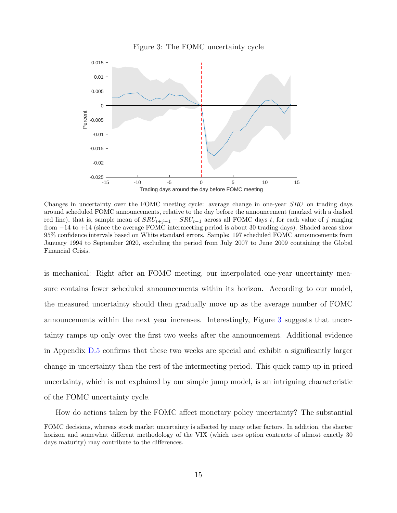<span id="page-16-0"></span>



Changes in uncertainty over the FOMC meeting cycle: average change in one-year SRU on trading days around scheduled FOMC announcements, relative to the day before the announcement (marked with a dashed red line), that is, sample mean of  $SRU_{t+j-1} - SRU_{t-1}$  across all FOMC days t, for each value of j ranging from −14 to +14 (since the average FOMC intermeeting period is about 30 trading days). Shaded areas show 95% confidence intervals based on White standard errors. Sample: 197 scheduled FOMC announcements from January 1994 to September 2020, excluding the period from July 2007 to June 2009 containing the Global Financial Crisis.

is mechanical: Right after an FOMC meeting, our interpolated one-year uncertainty measure contains fewer scheduled announcements within its horizon. According to our model, the measured uncertainty should then gradually move up as the average number of FOMC announcements within the next year increases. Interestingly, Figure [3](#page-16-0) suggests that uncertainty ramps up only over the first two weeks after the announcement. Additional evidence in Appendix [D.5](#page-49-2) confirms that these two weeks are special and exhibit a significantly larger change in uncertainty than the rest of the intermeeting period. This quick ramp up in priced uncertainty, which is not explained by our simple jump model, is an intriguing characteristic of the FOMC uncertainty cycle.

How do actions taken by the FOMC affect monetary policy uncertainty? The substantial

FOMC decisions, whereas stock market uncertainty is affected by many other factors. In addition, the shorter horizon and somewhat different methodology of the VIX (which uses option contracts of almost exactly 30 days maturity) may contribute to the differences.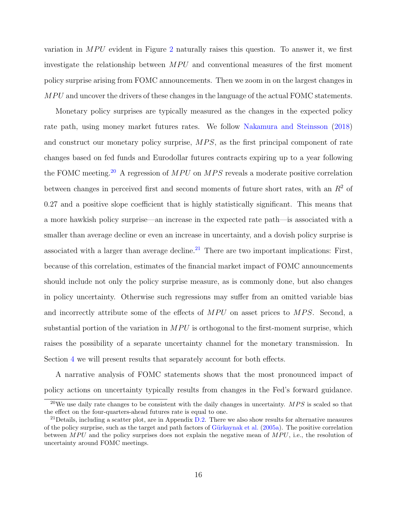variation in  $MPU$  evident in Figure [2](#page-12-0) naturally raises this question. To answer it, we first investigate the relationship between  $MPU$  and conventional measures of the first moment policy surprise arising from FOMC announcements. Then we zoom in on the largest changes in MPU and uncover the drivers of these changes in the language of the actual FOMC statements.

Monetary policy surprises are typically measured as the changes in the expected policy rate path, using money market futures rates. We follow [Nakamura and Steinsson](#page-30-1) [\(2018\)](#page-30-1) and construct our monetary policy surprise, MPS, as the first principal component of rate changes based on fed funds and Eurodollar futures contracts expiring up to a year following the FOMC meeting.<sup>[20](#page-17-0)</sup> A regression of  $MPU$  on  $MPS$  reveals a moderate positive correlation between changes in perceived first and second moments of future short rates, with an  $R<sup>2</sup>$  of 0.27 and a positive slope coefficient that is highly statistically significant. This means that a more hawkish policy surprise—an increase in the expected rate path—is associated with a smaller than average decline or even an increase in uncertainty, and a dovish policy surprise is associated with a larger than average decline.<sup>[21](#page-17-1)</sup> There are two important implications: First, because of this correlation, estimates of the financial market impact of FOMC announcements should include not only the policy surprise measure, as is commonly done, but also changes in policy uncertainty. Otherwise such regressions may suffer from an omitted variable bias and incorrectly attribute some of the effects of  $MPU$  on asset prices to  $MPS$ . Second, a substantial portion of the variation in  $MPU$  is orthogonal to the first-moment surprise, which raises the possibility of a separate uncertainty channel for the monetary transmission. In Section [4](#page-20-0) we will present results that separately account for both effects.

A narrative analysis of FOMC statements shows that the most pronounced impact of policy actions on uncertainty typically results from changes in the Fed's forward guidance.

<span id="page-17-0"></span><sup>&</sup>lt;sup>20</sup>We use daily rate changes to be consistent with the daily changes in uncertainty.  $MPS$  is scaled so that the effect on the four-quarters-ahead futures rate is equal to one.

<span id="page-17-1"></span> $^{21}$ Details, including a scatter plot, are in Appendix [D.2.](#page-47-0) There we also show results for alternative measures of the policy surprise, such as the target and path factors of Gürkaynak et al. [\(2005a\)](#page-29-0). The positive correlation between MPU and the policy surprises does not explain the negative mean of  $MPU$ , i.e., the resolution of uncertainty around FOMC meetings.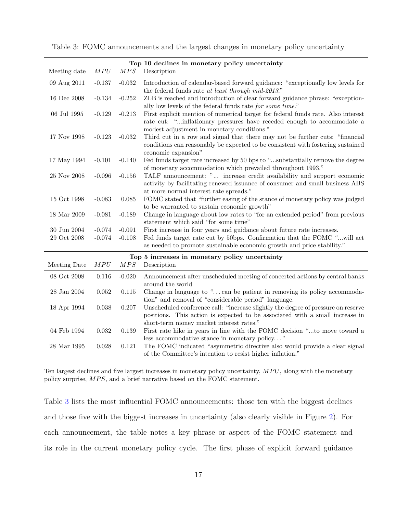|                   |              |          | Top 10 declines in monetary policy uncertainty                                                                                                                                                                |
|-------------------|--------------|----------|---------------------------------------------------------------------------------------------------------------------------------------------------------------------------------------------------------------|
| Meeting date      | ${\cal MPU}$ | MPS      | Description                                                                                                                                                                                                   |
| 09 Aug 2011       | $-0.137$     | $-0.032$ | Introduction of calendar-based forward guidance: "exceptionally low levels for<br>the federal funds rate at least through mid-2013."                                                                          |
| 16 Dec 2008       | $-0.134$     | $-0.252$ | ZLB is reached and introduction of clear forward guidance phrase: "exception-<br>ally low levels of the federal funds rate for some time."                                                                    |
| 06 Jul 1995       | $-0.129$     | $-0.213$ | First explicit mention of numerical target for federal funds rate. Also interest<br>rate cut: "inflationary pressures have receded enough to accommodate a<br>modest adjustment in monetary conditions."      |
| 17 Nov 1998       | $-0.123$     | $-0.032$ | Third cut in a row and signal that there may not be further cuts: "financial<br>conditions can reasonably be expected to be consistent with fostering sustained<br>economic expansion"                        |
| 17 May 1994       | $-0.101$     | $-0.140$ | Fed funds target rate increased by 50 bps to "substantially remove the degree<br>of monetary accommodation which prevailed throughout 1993."                                                                  |
| 25 Nov 2008       | $-0.096$     | $-0.156$ | TALF announcement: " increase credit availability and support economic<br>activity by facilitating renewed issuance of consumer and small business ABS<br>at more normal interest rate spreads."              |
| 15 Oct 1998       | $-0.083$     | 0.085    | FOMC stated that "further easing of the stance of monetary policy was judged<br>to be warranted to sustain economic growth"                                                                                   |
| 18 Mar 2009       | $-0.081$     | $-0.189$ | Change in language about low rates to "for an extended period" from previous<br>statement which said "for some time"                                                                                          |
| $30$ Jun $2004\,$ | $-0.074$     | $-0.091$ | First increase in four years and guidance about future rate increases.                                                                                                                                        |
| 29 Oct 2008       | $-0.074$     | $-0.108$ | Fed funds target rate cut by 50bps. Confirmation that the FOMC "will act<br>as needed to promote sustainable economic growth and price stability."                                                            |
|                   |              |          | Top 5 increases in monetary policy uncertainty                                                                                                                                                                |
| Meeting Date      | ${\cal MPU}$ | MPS      | Description                                                                                                                                                                                                   |
| 08 Oct 2008       | 0.116        | $-0.020$ | Announcement after unscheduled meeting of concerted actions by central banks<br>around the world                                                                                                              |
| $28$ Jan $2004\,$ | 0.052        | 0.115    | Change in language to "can be patient in removing its policy accommoda-<br>tion" and removal of "considerable period" language.                                                                               |
| 18 Apr 1994       | 0.038        | 0.207    | Unscheduled conference call: "increase slightly the degree of pressure on reserve<br>positions. This action is expected to be associated with a small increase in<br>short-term money market interest rates." |
| 04 Feb 1994       | 0.032        | 0.139    | First rate hike in years in line with the FOMC decision "to move toward a<br>less accommodative stance in monetary policy"                                                                                    |
| 28 Mar 1995       | 0.028        | 0.121    | The FOMC indicated "asymmetric directive also would provide a clear signal<br>of the Committee's intention to resist higher inflation."                                                                       |

<span id="page-18-0"></span>Table 3: FOMC announcements and the largest changes in monetary policy uncertainty

Ten largest declines and five largest increases in monetary policy uncertainty,  $MPU$ , along with the monetary policy surprise,  $MPS$ , and a brief narrative based on the FOMC statement.

Table [3](#page-18-0) lists the most influential FOMC announcements: those ten with the biggest declines and those five with the biggest increases in uncertainty (also clearly visible in Figure [2\)](#page-12-0). For each announcement, the table notes a key phrase or aspect of the FOMC statement and its role in the current monetary policy cycle. The first phase of explicit forward guidance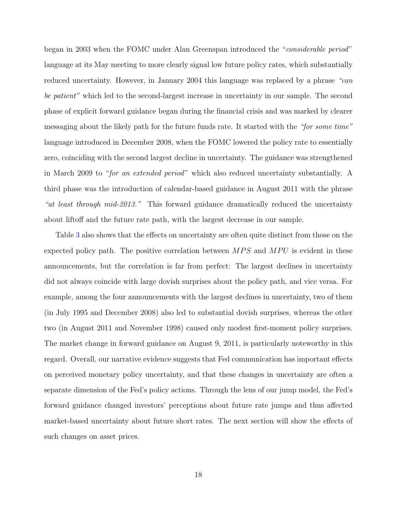began in 2003 when the FOMC under Alan Greenspan introduced the "considerable period" language at its May meeting to more clearly signal low future policy rates, which substantially reduced uncertainty. However, in January 2004 this language was replaced by a phrase "can be patient" which led to the second-largest increase in uncertainty in our sample. The second phase of explicit forward guidance began during the financial crisis and was marked by clearer messaging about the likely path for the future funds rate. It started with the "for some time" language introduced in December 2008, when the FOMC lowered the policy rate to essentially zero, coinciding with the second largest decline in uncertainty. The guidance was strengthened in March 2009 to "for an extended period" which also reduced uncertainty substantially. A third phase was the introduction of calendar-based guidance in August 2011 with the phrase "at least through mid-2013." This forward guidance dramatically reduced the uncertainty about liftoff and the future rate path, with the largest decrease in our sample.

Table [3](#page-18-0) also shows that the effects on uncertainty are often quite distinct from those on the expected policy path. The positive correlation between  $MPS$  and  $MPU$  is evident in these announcements, but the correlation is far from perfect: The largest declines in uncertainty did not always coincide with large dovish surprises about the policy path, and vice versa. For example, among the four announcements with the largest declines in uncertainty, two of them (in July 1995 and December 2008) also led to substantial dovish surprises, whereas the other two (in August 2011 and November 1998) caused only modest first-moment policy surprises. The market change in forward guidance on August 9, 2011, is particularly noteworthy in this regard. Overall, our narrative evidence suggests that Fed communication has important effects on perceived monetary policy uncertainty, and that these changes in uncertainty are often a separate dimension of the Fed's policy actions. Through the lens of our jump model, the Fed's forward guidance changed investors' perceptions about future rate jumps and thus affected market-based uncertainty about future short rates. The next section will show the effects of such changes on asset prices.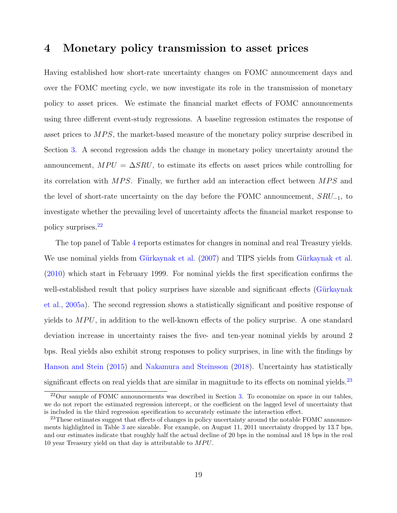## <span id="page-20-0"></span>4 Monetary policy transmission to asset prices

Having established how short-rate uncertainty changes on FOMC announcement days and over the FOMC meeting cycle, we now investigate its role in the transmission of monetary policy to asset prices. We estimate the financial market effects of FOMC announcements using three different event-study regressions. A baseline regression estimates the response of asset prices to  $MPS$ , the market-based measure of the monetary policy surprise described in Section [3.](#page-11-2) A second regression adds the change in monetary policy uncertainty around the announcement,  $MPU = \Delta SRU$ , to estimate its effects on asset prices while controlling for its correlation with  $MPS$ . Finally, we further add an interaction effect between  $MPS$  and the level of short-rate uncertainty on the day before the FOMC announcement,  $SRU_{-1}$ , to investigate whether the prevailing level of uncertainty affects the financial market response to policy surprises.[22](#page-20-1)

The top panel of Table [4](#page-21-0) reports estimates for changes in nominal and real Treasury yields. We use nominal yields from Gürkaynak et al. [\(2007\)](#page-29-8) and TIPS yields from Gürkaynak et al. [\(2010\)](#page-29-9) which start in February 1999. For nominal yields the first specification confirms the well-established result that policy surprises have sizeable and significant effects (Gürkaynak [et al.,](#page-29-0) [2005a\)](#page-29-0). The second regression shows a statistically significant and positive response of yields to  $MPU$ , in addition to the well-known effects of the policy surprise. A one standard deviation increase in uncertainty raises the five- and ten-year nominal yields by around 2 bps. Real yields also exhibit strong responses to policy surprises, in line with the findings by [Hanson and Stein](#page-29-1) [\(2015\)](#page-29-1) and [Nakamura and Steinsson](#page-30-1) [\(2018\)](#page-30-1). Uncertainty has statistically significant effects on real yields that are similar in magnitude to its effects on nominal yields.<sup>[23](#page-20-2)</sup>

<span id="page-20-1"></span> $^{22}$ Our sample of FOMC announcements was described in Section [3.](#page-11-2) To economize on space in our tables, we do not report the estimated regression intercept, or the coefficient on the lagged level of uncertainty that is included in the third regression specification to accurately estimate the interaction effect.

<span id="page-20-2"></span><sup>&</sup>lt;sup>23</sup>These estimates suggest that effects of changes in policy uncertainty around the notable FOMC announcements highlighted in Table [3](#page-18-0) are sizeable. For example, on August 11, 2011 uncertainty dropped by 13.7 bps, and our estimates indicate that roughly half the actual decline of 20 bps in the nominal and 18 bps in the real 10 year Treasury yield on that day is attributable to  $MPU$ .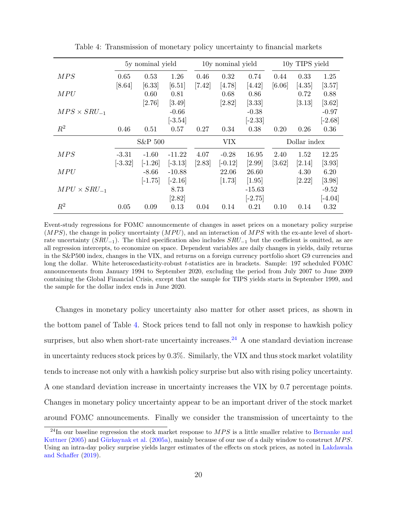|                       |           | 5y nominal yield |           |          | 10y nominal yield |           |        | 10y TIPS yield |           |
|-----------------------|-----------|------------------|-----------|----------|-------------------|-----------|--------|----------------|-----------|
| MPS                   | 0.65      | 0.53             | 1.26      | 0.46     | 0.32              | 0.74      | 0.44   | 0.33           | 1.25      |
|                       | [8.64]    | [6.33]           | [6.51]    | $[7.42]$ | [4.78]            | [4.42]    | [6.06] | $[4.35]$       | [3.57]    |
| MPU                   |           | 0.60             | 0.81      |          | 0.68              | 0.86      |        | 0.72           | 0.88      |
|                       |           | [2.76]           | $[3.49]$  |          | [2.82]            | $[3.33]$  |        | [3.13]         | $[3.62]$  |
| $MPS \times SRU_{-1}$ |           |                  | $-0.66$   |          |                   | $-0.38$   |        |                | $-0.97$   |
|                       |           |                  | $[-3.54]$ |          |                   | $[-2.33]$ |        |                | $[-2.68]$ |
| $R^2$                 | 0.46      | 0.51             | 0.57      | 0.27     | 0.34              | 0.38      | 0.20   | 0.26           | 0.36      |
|                       |           |                  |           |          |                   |           |        |                |           |
|                       |           | S&P 500          |           |          | <b>VIX</b>        |           |        | Dollar index   |           |
| MPS                   | $-3.31$   | $-1.60$          | $-11.22$  | 4.07     | $-0.28$           | 16.95     | 2.40   | 1.52           | 12.25     |
|                       | $[-3.32]$ | $[-1.26]$        | $[-3.13]$ | [2.83]   | $[-0.12]$         | [2.99]    | [3.62] | [2.14]         | $[3.93]$  |
| <i>MPU</i>            |           | $-8.66$          | $-10.88$  |          | 22.06             | 26.60     |        | 4.30           | 6.20      |
|                       |           | $[-1.75]$        | $[-2.16]$ |          | [1.73]            | [1.95]    |        | $[2.22]$       | $[3.98]$  |
| $MPU \times SRU_{-1}$ |           |                  | 8.73      |          |                   | $-15.63$  |        |                | $-9.52$   |
|                       |           |                  | [2.82]    |          |                   | $[-2.75]$ |        |                | $[-4.04]$ |

<span id="page-21-0"></span>Table 4: Transmission of monetary policy uncertainty to financial markets

Event-study regressions for FOMC announcemente of changes in asset prices on a monetary policy surprise  $(MPS)$ , the change in policy uncertainty  $(MPU)$ , and an interaction of  $MPS$  with the ex-ante level of shortrate uncertainty  $(SRU_{-1})$ . The third specification also includes  $SRU_{-1}$  but the coefficient is omitted, as are all regression intercepts, to economize on space. Dependent variables are daily changes in yields, daily returns in the S&P500 index, changes in the VIX, and returns on a foreign currency portfolio short G9 currencies and long the dollar. White heteroscedasticity-robust t-statistics are in brackets. Sample: 197 scheduled FOMC announcements from January 1994 to September 2020, excluding the period from July 2007 to June 2009 containing the Global Financial Crisis, except that the sample for TIPS yields starts in September 1999, and the sample for the dollar index ends in June 2020.

Changes in monetary policy uncertainty also matter for other asset prices, as shown in the bottom panel of Table [4.](#page-21-0) Stock prices tend to fall not only in response to hawkish policy surprises, but also when short-rate uncertainty increases.<sup>[24](#page-21-1)</sup> A one standard deviation increase in uncertainty reduces stock prices by 0.3%. Similarly, the VIX and thus stock market volatility tends to increase not only with a hawkish policy surprise but also with rising policy uncertainty. A one standard deviation increase in uncertainty increases the VIX by 0.7 percentage points. Changes in monetary policy uncertainty appear to be an important driver of the stock market around FOMC announcements. Finally we consider the transmission of uncertainty to the

<span id="page-21-1"></span> $^{24}$ In our baseline regression the stock market response to  $MPS$  is a little smaller relative to [Bernanke and](#page-27-0) [Kuttner](#page-27-0) [\(2005\)](#page-27-0) and Gürkaynak et al. [\(2005a\)](#page-29-0), mainly because of our use of a daily window to construct MPS. Using an intra-day policy surprise yields larger estimates of the effects on stock prices, as noted in [Lakdawala](#page-30-7) [and Schaffer](#page-30-7) [\(2019\)](#page-30-7).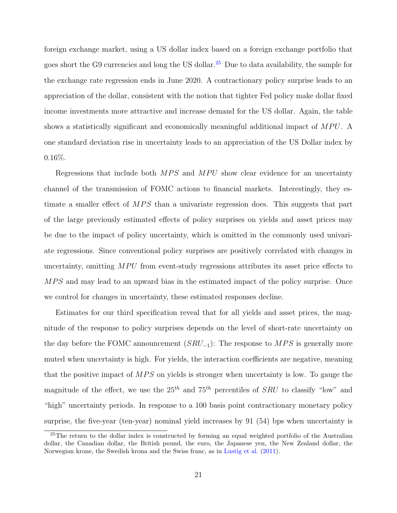foreign exchange market, using a US dollar index based on a foreign exchange portfolio that goes short the G9 currencies and long the US dollar.<sup>[25](#page-22-0)</sup> Due to data availability, the sample for the exchange rate regression ends in June 2020. A contractionary policy surprise leads to an appreciation of the dollar, consistent with the notion that tighter Fed policy make dollar fixed income investments more attractive and increase demand for the US dollar. Again, the table shows a statistically significant and economically meaningful additional impact of  $MPU$ . A one standard deviation rise in uncertainty leads to an appreciation of the US Dollar index by 0.16%.

Regressions that include both  $MPS$  and  $MPU$  show clear evidence for an uncertainty channel of the transmission of FOMC actions to financial markets. Interestingly, they estimate a smaller effect of  $MPS$  than a univariate regression does. This suggests that part of the large previously estimated effects of policy surprises on yields and asset prices may be due to the impact of policy uncertainty, which is omitted in the commonly used univariate regressions. Since conventional policy surprises are positively correlated with changes in uncertainty, omitting  $MPU$  from event-study regressions attributes its asset price effects to MPS and may lead to an upward bias in the estimated impact of the policy surprise. Once we control for changes in uncertainty, these estimated responses decline.

Estimates for our third specification reveal that for all yields and asset prices, the magnitude of the response to policy surprises depends on the level of short-rate uncertainty on the day before the FOMC announcement  $(SRU_{-1})$ : The response to MPS is generally more muted when uncertainty is high. For yields, the interaction coefficients are negative, meaning that the positive impact of  $MPS$  on yields is stronger when uncertainty is low. To gauge the magnitude of the effect, we use the  $25<sup>th</sup>$  and  $75<sup>th</sup>$  percentiles of SRU to classify "low" and "high" uncertainty periods. In response to a 100 basis point contractionary monetary policy surprise, the five-year (ten-year) nominal yield increases by 91 (54) bps when uncertainty is

<span id="page-22-0"></span><sup>&</sup>lt;sup>25</sup>The return to the dollar index is constructed by forming an equal weighted portfolio of the Australian dollar, the Canadian dollar, the British pound, the euro, the Japanese yen, the New Zealand dollar, the Norwegian krone, the Swedish krona and the Swiss franc, as in [Lustig et al.](#page-30-8) [\(2011\)](#page-30-8).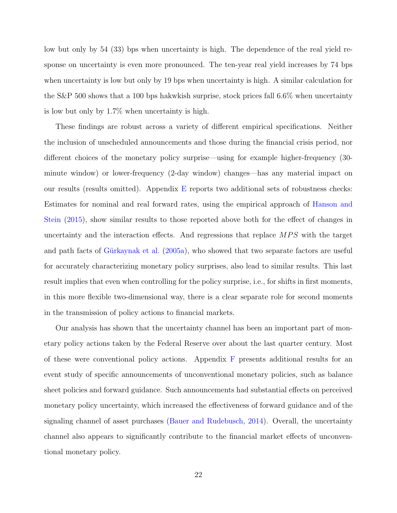low but only by 54 (33) bps when uncertainty is high. The dependence of the real yield response on uncertainty is even more pronounced. The ten-year real yield increases by 74 bps when uncertainty is low but only by 19 bps when uncertainty is high. A similar calculation for the S&P 500 shows that a 100 bps hakwkish surprise, stock prices fall 6.6% when uncertainty is low but only by 1.7% when uncertainty is high.

These findings are robust across a variety of different empirical specifications. Neither the inclusion of unscheduled announcements and those during the financial crisis period, nor different choices of the monetary policy surprise—using for example higher-frequency (30 minute window) or lower-frequency (2-day window) changes—has any material impact on our results (results omitted). Appendix [E](#page-51-0) reports two additional sets of robustness checks: Estimates for nominal and real forward rates, using the empirical approach of [Hanson and](#page-29-1) [Stein](#page-29-1) [\(2015\)](#page-29-1), show similar results to those reported above both for the effect of changes in uncertainty and the interaction effects. And regressions that replace  $MPS$  with the target and path facts of Gürkaynak et al.  $(2005a)$ , who showed that two separate factors are useful for accurately characterizing monetary policy surprises, also lead to similar results. This last result implies that even when controlling for the policy surprise, i.e., for shifts in first moments, in this more flexible two-dimensional way, there is a clear separate role for second moments in the transmission of policy actions to financial markets.

Our analysis has shown that the uncertainty channel has been an important part of monetary policy actions taken by the Federal Reserve over about the last quarter century. Most of these were conventional policy actions. Appendix  $F$  presents additional results for an event study of specific announcements of unconventional monetary policies, such as balance sheet policies and forward guidance. Such announcements had substantial effects on perceived monetary policy uncertainty, which increased the effectiveness of forward guidance and of the signaling channel of asset purchases [\(Bauer and Rudebusch,](#page-27-9) [2014\)](#page-27-9). Overall, the uncertainty channel also appears to significantly contribute to the financial market effects of unconventional monetary policy.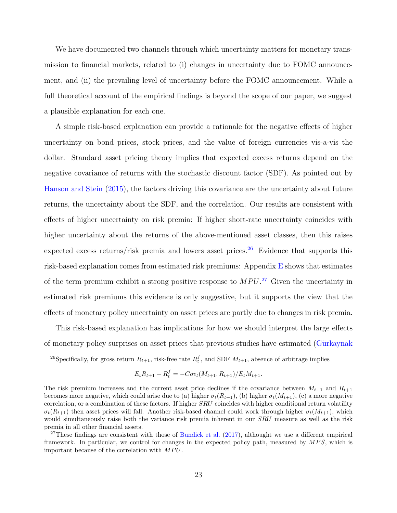We have documented two channels through which uncertainty matters for monetary transmission to financial markets, related to (i) changes in uncertainty due to FOMC announcement, and (ii) the prevailing level of uncertainty before the FOMC announcement. While a full theoretical account of the empirical findings is beyond the scope of our paper, we suggest a plausible explanation for each one.

A simple risk-based explanation can provide a rationale for the negative effects of higher uncertainty on bond prices, stock prices, and the value of foreign currencies vis-a-vis the dollar. Standard asset pricing theory implies that expected excess returns depend on the negative covariance of returns with the stochastic discount factor (SDF). As pointed out by [Hanson and Stein](#page-29-1) [\(2015\)](#page-29-1), the factors driving this covariance are the uncertainty about future returns, the uncertainty about the SDF, and the correlation. Our results are consistent with effects of higher uncertainty on risk premia: If higher short-rate uncertainty coincides with higher uncertainty about the returns of the above-mentioned asset classes, then this raises expected excess returns/risk premia and lowers asset prices.<sup>[26](#page-24-0)</sup> Evidence that supports this risk-based explanation comes from estimated risk premiums: Appendix [E](#page-51-0) shows that estimates of the term premium exhibit a strong positive response to  $MPU<sup>.27</sup>$  $MPU<sup>.27</sup>$  $MPU<sup>.27</sup>$  Given the uncertainty in estimated risk premiums this evidence is only suggestive, but it supports the view that the effects of monetary policy uncertainty on asset prices are partly due to changes in risk premia.

This risk-based explanation has implications for how we should interpret the large effects of monetary policy surprises on asset prices that previous studies have estimated (Gürkaynak

$$
E_t R_{t+1} - R_t^f = -Cov_t(M_{t+1}, R_{t+1})/E_t M_{t+1}.
$$

<span id="page-24-0"></span><sup>&</sup>lt;sup>26</sup>Specifically, for gross return  $R_{t+1}$ , risk-free rate  $R_t^f$ , and SDF  $M_{t+1}$ [, absence of arbitrage implies](#page-29-10)

[The risk premium increases and the current asset price declines if the covariance between](#page-29-10)  $M_{t+1}$  and  $R_{t+1}$ [becomes more negative, which could arise due to \(a\) higher](#page-29-10)  $\sigma_t(R_{t+1})$ , (b) higher  $\sigma_t(M_{t+1})$ , (c) a more negative [correlation, or a combination of these factors. If higher](#page-29-10)  $SRU$  coincides with higher conditional return volatility  $\sigma_t(R_{t+1})$  then asset prices will fall. Another risk-based channel could work through higher  $\sigma_t(M_{t+1})$ , which [would simultaneously raise both the variance risk premia inherent in our](#page-29-10) SRU measure as well as the risk [premia in all other financial assets.](#page-29-10)

<span id="page-24-1"></span><sup>&</sup>lt;sup>27</sup>These findings are consistent with those of [Bundick et al.](#page-28-1)  $(2017)$ , althought we use a different empirical [framework. In particular, we control for changes in the expected policy path, measured by](#page-29-10)  $MPS$ , which is [important because of the correlation with](#page-29-10)  $MPU$ .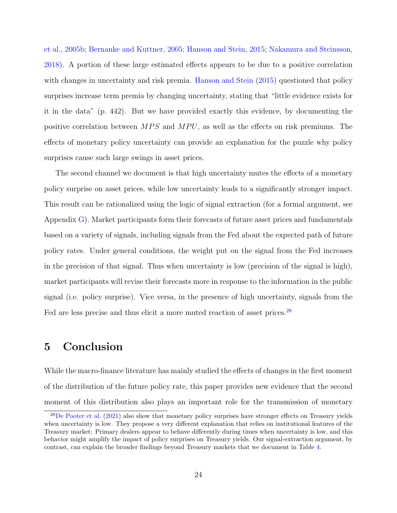[et al.,](#page-29-10) [2005b;](#page-29-10) [Bernanke and Kuttner,](#page-27-0) [2005;](#page-27-0) [Hanson and Stein,](#page-29-1) [2015;](#page-29-1) [Nakamura and Steinsson,](#page-30-1) [2018\)](#page-30-1). A portion of these large estimated effects appears to be due to a positive correlation with changes in uncertainty and risk premia. [Hanson and Stein](#page-29-1) [\(2015\)](#page-29-1) questioned that policy surprises increase term premia by changing uncertainty, stating that "little evidence exists for it in the data" (p. 442). But we have provided exactly this evidence, by documenting the positive correlation between  $MPS$  and  $MPU$ , as well as the effects on risk premiums. The effects of monetary policy uncertainty can provide an explanation for the puzzle why policy surprises cause such large swings in asset prices.

The second channel we document is that high uncertainty mutes the effects of a monetary policy surprise on asset prices, while low uncertainty leads to a significantly stronger impact. This result can be rationalized using the logic of signal extraction (for a formal argument, see Appendix [G\)](#page-53-0). Market participants form their forecasts of future asset prices and fundamentals based on a variety of signals, including signals from the Fed about the expected path of future policy rates. Under general conditions, the weight put on the signal from the Fed increases in the precision of that signal. Thus when uncertainty is low (precision of the signal is high), market participants will revise their forecasts more in response to the information in the public signal (i.e. policy surprise). Vice versa, in the presence of high uncertainty, signals from the Fed are less precise and thus elicit a more muted reaction of asset prices.<sup>[28](#page-25-0)</sup>

## 5 Conclusion

While the macro-finance literature has mainly studied the effects of changes in the first moment of the distribution of the future policy rate, this paper provides new evidence that the second moment of this distribution also plays an important role for the transmission of monetary

<span id="page-25-0"></span> $28$ [De Pooter et al.](#page-28-2) [\(2021\)](#page-28-2) also show that monetary policy surprises have stronger effects on Treasury yields when uncertainty is low. They propose a very different explanation that relies on institutional features of the Treasury market: Primary dealers appear to behave differently during times when uncertainty is low, and this behavior might amplify the impact of policy surprises on Treasury yields. Our signal-extraction argument, by contrast, can explain the broader findings beyond Treasury markets that we document in Table [4.](#page-21-0)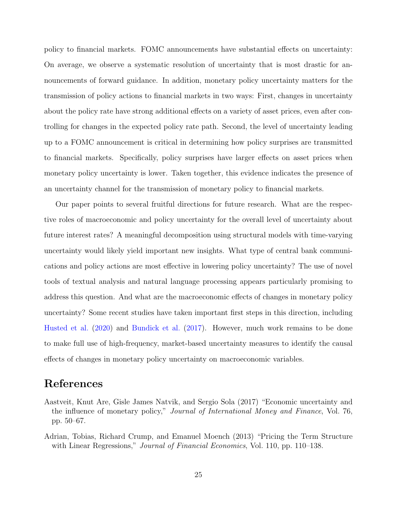policy to financial markets. FOMC announcements have substantial effects on uncertainty: On average, we observe a systematic resolution of uncertainty that is most drastic for announcements of forward guidance. In addition, monetary policy uncertainty matters for the transmission of policy actions to financial markets in two ways: First, changes in uncertainty about the policy rate have strong additional effects on a variety of asset prices, even after controlling for changes in the expected policy rate path. Second, the level of uncertainty leading up to a FOMC announcement is critical in determining how policy surprises are transmitted to financial markets. Specifically, policy surprises have larger effects on asset prices when monetary policy uncertainty is lower. Taken together, this evidence indicates the presence of an uncertainty channel for the transmission of monetary policy to financial markets.

Our paper points to several fruitful directions for future research. What are the respective roles of macroeconomic and policy uncertainty for the overall level of uncertainty about future interest rates? A meaningful decomposition using structural models with time-varying uncertainty would likely yield important new insights. What type of central bank communications and policy actions are most effective in lowering policy uncertainty? The use of novel tools of textual analysis and natural language processing appears particularly promising to address this question. And what are the macroeconomic effects of changes in monetary policy uncertainty? Some recent studies have taken important first steps in this direction, including [Husted et al.](#page-29-5) [\(2020\)](#page-29-5) and [Bundick et al.](#page-28-1) [\(2017\)](#page-28-1). However, much work remains to be done to make full use of high-frequency, market-based uncertainty measures to identify the causal effects of changes in monetary policy uncertainty on macroeconomic variables.

# References

- <span id="page-26-0"></span>Aastveit, Knut Are, Gisle James Natvik, and Sergio Sola (2017) "Economic uncertainty and the influence of monetary policy," Journal of International Money and Finance, Vol. 76, pp. 50–67.
- <span id="page-26-1"></span>Adrian, Tobias, Richard Crump, and Emanuel Moench (2013) "Pricing the Term Structure with Linear Regressions," Journal of Financial Economics, Vol. 110, pp. 110–138.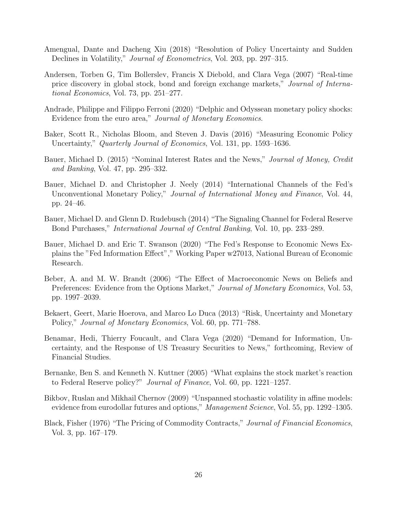- <span id="page-27-2"></span>Amengual, Dante and Dacheng Xiu (2018) "Resolution of Policy Uncertainty and Sudden Declines in Volatility," Journal of Econometrics, Vol. 203, pp. 297–315.
- <span id="page-27-8"></span>Andersen, Torben G, Tim Bollerslev, Francis X Diebold, and Clara Vega (2007) "Real-time price discovery in global stock, bond and foreign exchange markets," Journal of International Economics, Vol. 73, pp. 251–277.
- <span id="page-27-12"></span>Andrade, Philippe and Filippo Ferroni (2020) "Delphic and Odyssean monetary policy shocks: Evidence from the euro area," Journal of Monetary Economics.
- <span id="page-27-4"></span>Baker, Scott R., Nicholas Bloom, and Steven J. Davis (2016) "Measuring Economic Policy Uncertainty," *Quarterly Journal of Economics*, Vol. 131, pp. 1593–1636.
- <span id="page-27-7"></span>Bauer, Michael D. (2015) "Nominal Interest Rates and the News," Journal of Money, Credit and Banking, Vol. 47, pp. 295–332.
- <span id="page-27-13"></span>Bauer, Michael D. and Christopher J. Neely (2014) "International Channels of the Fed's Unconventional Monetary Policy," Journal of International Money and Finance, Vol. 44, pp. 24–46.
- <span id="page-27-9"></span>Bauer, Michael D. and Glenn D. Rudebusch (2014) "The Signaling Channel for Federal Reserve Bond Purchases," International Journal of Central Banking, Vol. 10, pp. 233–289.
- <span id="page-27-5"></span>Bauer, Michael D. and Eric T. Swanson (2020) "The Fed's Response to Economic News Explains the "Fed Information Effect"," Working Paper w27013, National Bureau of Economic Research.
- <span id="page-27-1"></span>Beber, A. and M. W. Brandt (2006) "The Effect of Macroeconomic News on Beliefs and Preferences: Evidence from the Options Market," Journal of Monetary Economics, Vol. 53, pp. 1997–2039.
- <span id="page-27-6"></span>Bekaert, Geert, Marie Hoerova, and Marco Lo Duca (2013) "Risk, Uncertainty and Monetary Policy," Journal of Monetary Economics, Vol. 60, pp. 771–788.
- <span id="page-27-3"></span>Benamar, Hedi, Thierry Foucault, and Clara Vega (2020) "Demand for Information, Uncertainty, and the Response of US Treasury Securities to News," forthcoming, Review of Financial Studies.
- <span id="page-27-0"></span>Bernanke, Ben S. and Kenneth N. Kuttner (2005) "What explains the stock market's reaction to Federal Reserve policy?" Journal of Finance, Vol. 60, pp. 1221–1257.
- <span id="page-27-10"></span>Bikbov, Ruslan and Mikhail Chernov (2009) "Unspanned stochastic volatility in affine models: evidence from eurodollar futures and options," Management Science, Vol. 55, pp. 1292–1305.
- <span id="page-27-11"></span>Black, Fisher (1976) "The Pricing of Commodity Contracts," Journal of Financial Economics, Vol. 3, pp. 167–179.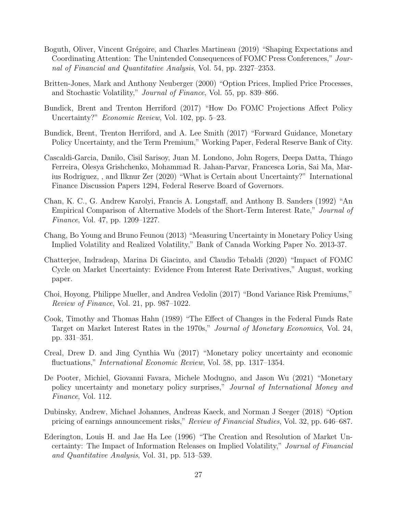- <span id="page-28-10"></span>Boguth, Oliver, Vincent Grégoire, and Charles Martineau (2019) "Shaping Expectations and Coordinating Attention: The Unintended Consequences of FOMC Press Conferences," Journal of Financial and Quantitative Analysis, Vol. 54, pp. 2327–2353.
- <span id="page-28-11"></span>Britten-Jones, Mark and Anthony Neuberger (2000) "Option Prices, Implied Price Processes, and Stochastic Volatility," Journal of Finance, Vol. 55, pp. 839–866.
- <span id="page-28-5"></span>Bundick, Brent and Trenton Herriford (2017) "How Do FOMC Projections Affect Policy Uncertainty?" Economic Review, Vol. 102, pp. 5–23.
- <span id="page-28-1"></span>Bundick, Brent, Trenton Herriford, and A. Lee Smith (2017) "Forward Guidance, Monetary Policy Uncertainty, and the Term Premium," Working Paper, Federal Reserve Bank of City.
- <span id="page-28-12"></span>Cascaldi-Garcia, Danilo, Cisil Sarisoy, Juan M. Londono, John Rogers, Deepa Datta, Thiago Ferreira, Olesya Grishchenko, Mohammad R. Jahan-Parvar, Francesca Loria, Sai Ma, Marius Rodriguez, , and Ilknur Zer (2020) "What is Certain about Uncertainty?" International Finance Discussion Papers 1294, Federal Reserve Board of Governors.
- <span id="page-28-8"></span>Chan, K. C., G. Andrew Karolyi, Francis A. Longstaff, and Anthony B. Sanders (1992) "An Empirical Comparison of Alternative Models of the Short-Term Interest Rate," Journal of Finance, Vol. 47, pp. 1209–1227.
- <span id="page-28-4"></span>Chang, Bo Young and Bruno Feunou (2013) "Measuring Uncertainty in Monetary Policy Using Implied Volatility and Realized Volatility," Bank of Canada Working Paper No. 2013-37.
- <span id="page-28-6"></span>Chatterjee, Indradeap, Marina Di Giacinto, and Claudio Tebaldi (2020) "Impact of FOMC Cycle on Market Uncertainty: Evidence From Interest Rate Derivatives," August, working paper.
- <span id="page-28-9"></span>Choi, Hoyong, Philippe Mueller, and Andrea Vedolin (2017) "Bond Variance Risk Premiums," Review of Finance, Vol. 21, pp. 987–1022.
- <span id="page-28-0"></span>Cook, Timothy and Thomas Hahn (1989) "The Effect of Changes in the Federal Funds Rate Target on Market Interest Rates in the 1970s," Journal of Monetary Economics, Vol. 24, pp. 331–351.
- <span id="page-28-7"></span>Creal, Drew D. and Jing Cynthia Wu (2017) "Monetary policy uncertainty and economic fluctuations," *International Economic Review*, Vol. 58, pp. 1317–1354.
- <span id="page-28-2"></span>De Pooter, Michiel, Giovanni Favara, Michele Modugno, and Jason Wu (2021) "Monetary policy uncertainty and monetary policy surprises," Journal of International Money and Finance, Vol. 112.
- <span id="page-28-13"></span>Dubinsky, Andrew, Michael Johannes, Andreas Kaeck, and Norman J Seeger (2018) "Option pricing of earnings announcement risks," Review of Financial Studies, Vol. 32, pp. 646–687.
- <span id="page-28-3"></span>Ederington, Louis H. and Jae Ha Lee (1996) "The Creation and Resolution of Market Uncertainty: The Impact of Information Releases on Implied Volatility," Journal of Financial and Quantitative Analysis, Vol. 31, pp. 513–539.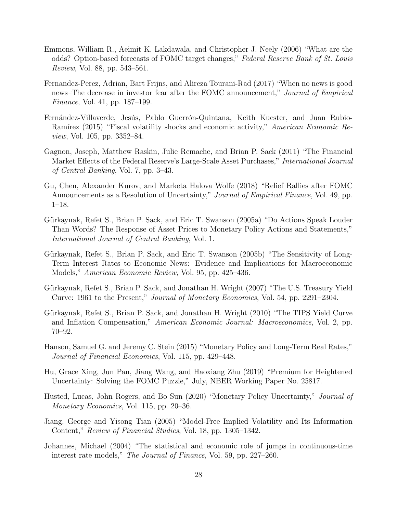- <span id="page-29-2"></span>Emmons, William R., Aeimit K. Lakdawala, and Christopher J. Neely (2006) "What are the odds? Option-based forecasts of FOMC target changes," Federal Reserve Bank of St. Louis Review, Vol. 88, pp. 543–561.
- <span id="page-29-3"></span>Fernandez-Perez, Adrian, Bart Frijns, and Alireza Tourani-Rad (2017) "When no news is good news–The decrease in investor fear after the FOMC announcement," Journal of Empirical Finance, Vol. 41, pp. 187–199.
- <span id="page-29-6"></span>Fernández-Villaverde, Jesús, Pablo Guerrón-Quintana, Keith Kuester, and Juan Rubio-Ramírez (2015) "Fiscal volatility shocks and economic activity," American Economic Review, Vol. 105, pp. 3352–84.
- <span id="page-29-13"></span>Gagnon, Joseph, Matthew Raskin, Julie Remache, and Brian P. Sack (2011) "The Financial Market Effects of the Federal Reserve's Large-Scale Asset Purchases," International Journal of Central Banking, Vol. 7, pp. 3–43.
- <span id="page-29-4"></span>Gu, Chen, Alexander Kurov, and Marketa Halova Wolfe (2018) "Relief Rallies after FOMC Announcements as a Resolution of Uncertainty," *Journal of Empirical Finance*, Vol. 49, pp. 1–18.
- <span id="page-29-0"></span>Gürkaynak, Refet S., Brian P. Sack, and Eric T. Swanson (2005a) "Do Actions Speak Louder Than Words? The Response of Asset Prices to Monetary Policy Actions and Statements," International Journal of Central Banking, Vol. 1.
- <span id="page-29-10"></span>Gürkaynak, Refet S., Brian P. Sack, and Eric T. Swanson (2005b) "The Sensitivity of Long-Term Interest Rates to Economic News: Evidence and Implications for Macroeconomic Models," American Economic Review, Vol. 95, pp. 425–436.
- <span id="page-29-8"></span>Gürkaynak, Refet S., Brian P. Sack, and Jonathan H. Wright (2007) "The U.S. Treasury Yield Curve: 1961 to the Present," Journal of Monetary Economics, Vol. 54, pp. 2291–2304.
- <span id="page-29-9"></span>Gürkaynak, Refet S., Brian P. Sack, and Jonathan H. Wright (2010) "The TIPS Yield Curve and Inflation Compensation," American Economic Journal: Macroeconomics, Vol. 2, pp. 70–92.
- <span id="page-29-1"></span>Hanson, Samuel G. and Jeremy C. Stein (2015) "Monetary Policy and Long-Term Real Rates," Journal of Financial Economics, Vol. 115, pp. 429–448.
- <span id="page-29-7"></span>Hu, Grace Xing, Jun Pan, Jiang Wang, and Haoxiang Zhu (2019) "Premium for Heightened Uncertainty: Solving the FOMC Puzzle," July, NBER Working Paper No. 25817.
- <span id="page-29-5"></span>Husted, Lucas, John Rogers, and Bo Sun (2020) "Monetary Policy Uncertainty," Journal of Monetary Economics, Vol. 115, pp. 20–36.
- <span id="page-29-11"></span>Jiang, George and Yisong Tian (2005) "Model-Free Implied Volatility and Its Information Content," Review of Financial Studies, Vol. 18, pp. 1305–1342.
- <span id="page-29-12"></span>Johannes, Michael (2004) "The statistical and economic role of jumps in continuous-time interest rate models," The Journal of Finance, Vol. 59, pp. 227–260.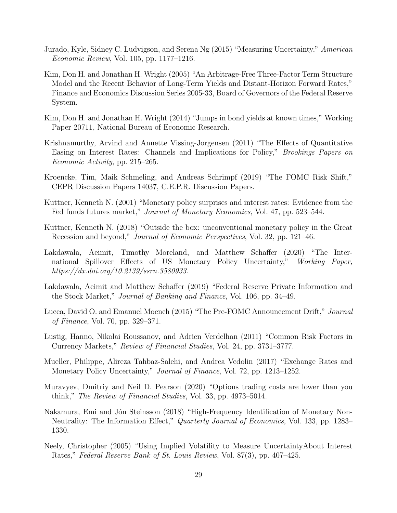- <span id="page-30-9"></span>Jurado, Kyle, Sidney C. Ludvigson, and Serena Ng (2015) "Measuring Uncertainty," American Economic Review, Vol. 105, pp. 1177–1216.
- <span id="page-30-14"></span>Kim, Don H. and Jonathan H. Wright (2005) "An Arbitrage-Free Three-Factor Term Structure Model and the Recent Behavior of Long-Term Yields and Distant-Horizon Forward Rates," Finance and Economics Discussion Series 2005-33, Board of Governors of the Federal Reserve System.
- <span id="page-30-10"></span>Kim, Don H. and Jonathan H. Wright (2014) "Jumps in bond yields at known times," Working Paper 20711, National Bureau of Economic Research.
- <span id="page-30-12"></span>Krishnamurthy, Arvind and Annette Vissing-Jorgensen (2011) "The Effects of Quantitative Easing on Interest Rates: Channels and Implications for Policy," Brookings Papers on Economic Activity, pp. 215–265.
- <span id="page-30-3"></span>Kroencke, Tim, Maik Schmeling, and Andreas Schrimpf (2019) "The FOMC Risk Shift," CEPR Discussion Papers 14037, C.E.P.R. Discussion Papers.
- <span id="page-30-0"></span>Kuttner, Kenneth N. (2001) "Monetary policy surprises and interest rates: Evidence from the Fed funds futures market," Journal of Monetary Economics, Vol. 47, pp. 523–544.
- <span id="page-30-13"></span>Kuttner, Kenneth N. (2018) "Outside the box: unconventional monetary policy in the Great Recession and beyond," Journal of Economic Perspectives, Vol. 32, pp. 121–46.
- <span id="page-30-2"></span>Lakdawala, Aeimit, Timothy Moreland, and Matthew Schaffer (2020) "The International Spillover Effects of US Monetary Policy Uncertainty," Working Paper, https://dx.doi.org/10.2139/ssrn.3580933.
- <span id="page-30-7"></span>Lakdawala, Aeimit and Matthew Schaffer (2019) "Federal Reserve Private Information and the Stock Market," Journal of Banking and Finance, Vol. 106, pp. 34–49.
- <span id="page-30-5"></span>Lucca, David O. and Emanuel Moench (2015) "The Pre-FOMC Announcement Drift," Journal of Finance, Vol. 70, pp. 329–371.
- <span id="page-30-8"></span>Lustig, Hanno, Nikolai Roussanov, and Adrien Verdelhan (2011) "Common Risk Factors in Currency Markets," Review of Financial Studies, Vol. 24, pp. 3731–3777.
- <span id="page-30-6"></span>Mueller, Philippe, Alireza Tahbaz-Salehi, and Andrea Vedolin (2017) "Exchange Rates and Monetary Policy Uncertainty," *Journal of Finance*, Vol. 72, pp. 1213–1252.
- <span id="page-30-11"></span>Muravyev, Dmitriy and Neil D. Pearson (2020) "Options trading costs are lower than you think," The Review of Financial Studies, Vol. 33, pp. 4973–5014.
- <span id="page-30-1"></span>Nakamura, Emi and Jón Steinsson (2018) "High-Frequency Identification of Monetary Non-Neutrality: The Information Effect," *Quarterly Journal of Economics*, Vol. 133, pp. 1283– 1330.
- <span id="page-30-4"></span>Neely, Christopher (2005) "Using Implied Volatility to Measure UncertaintyAbout Interest Rates," Federal Reserve Bank of St. Louis Review, Vol. 87(3), pp. 407–425.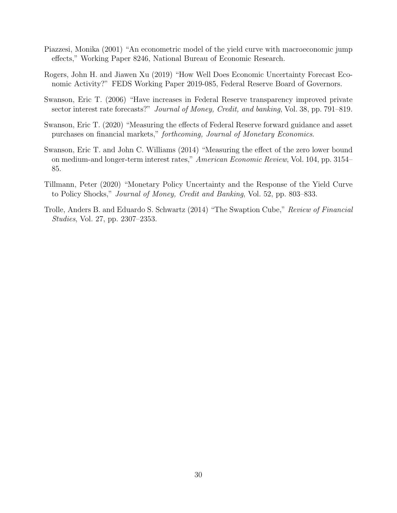- <span id="page-31-3"></span>Piazzesi, Monika (2001) "An econometric model of the yield curve with macroeconomic jump effects," Working Paper 8246, National Bureau of Economic Research.
- <span id="page-31-5"></span>Rogers, John H. and Jiawen Xu (2019) "How Well Does Economic Uncertainty Forecast Economic Activity?" FEDS Working Paper 2019-085, Federal Reserve Board of Governors.
- <span id="page-31-1"></span>Swanson, Eric T. (2006) "Have increases in Federal Reserve transparency improved private sector interest rate forecasts?" Journal of Money, Credit, and banking, Vol. 38, pp. 791–819.
- <span id="page-31-6"></span>Swanson, Eric T. (2020) "Measuring the effects of Federal Reserve forward guidance and asset purchases on financial markets," forthcoming, Journal of Monetary Economics.
- <span id="page-31-2"></span>Swanson, Eric T. and John C. Williams (2014) "Measuring the effect of the zero lower bound on medium-and longer-term interest rates," American Economic Review, Vol. 104, pp. 3154– 85.
- <span id="page-31-0"></span>Tillmann, Peter (2020) "Monetary Policy Uncertainty and the Response of the Yield Curve to Policy Shocks," Journal of Money, Credit and Banking, Vol. 52, pp. 803–833.
- <span id="page-31-4"></span>Trolle, Anders B. and Eduardo S. Schwartz (2014) "The Swaption Cube," Review of Financial Studies, Vol. 27, pp. 2307–2353.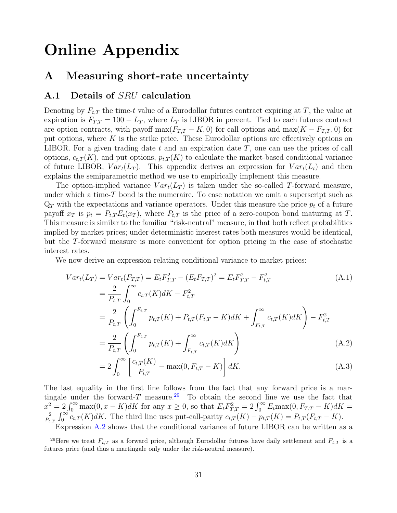# Online Appendix

## A Measuring short-rate uncertainty

#### <span id="page-32-0"></span>A.1 Details of SRU calculation

Denoting by  $F_{t,T}$  the time-t value of a Eurodollar futures contract expiring at T, the value at expiration is  $F_{TT} = 100 - L_T$ , where  $L_T$  is LIBOR in percent. Tied to each futures contract are option contracts, with payoff max $(F_{T,T} - K, 0)$  for call options and max $(K - F_{T,T}, 0)$  for put options, where  $K$  is the strike price. These Eurodollar options are effectively options on LIBOR. For a given trading date t and an expiration date  $T$ , one can use the prices of call options,  $c_{t,T}(K)$ , and put options,  $p_{t,T}(K)$  to calculate the market-based conditional variance of future LIBOR,  $Var_t(L_T)$ . This appendix derives an expression for  $Var_t(L_t)$  and then explains the semiparametric method we use to empirically implement this measure.

The option-implied variance  $Var_t(L_T)$  is taken under the so-called T-forward measure, under which a time- $T$  bond is the numeraire. To ease notation we omit a superscript such as  $\mathbb{Q}_T$  with the expectations and variance operators. Under this measure the price  $p_t$  of a future payoff  $x_T$  is  $p_t = P_{t,T} E_t(x_T)$ , where  $P_{t,T}$  is the price of a zero-coupon bond maturing at T. This measure is similar to the familiar "risk-neutral" measure, in that both reflect probabilities implied by market prices; under deterministic interest rates both measures would be identical, but the T-forward measure is more convenient for option pricing in the case of stochastic interest rates.

We now derive an expression relating conditional variance to market prices:

$$
Var_{t}(L_{T}) = Var_{t}(F_{T,T}) = E_{t}F_{T,T}^{2} - (E_{t}F_{T,T})^{2} = E_{t}F_{T,T}^{2} - F_{t,T}^{2}
$$
\n
$$
= \frac{2}{P_{t,T}} \int_{0}^{\infty} c_{t,T}(K)dK - F_{t,T}^{2}
$$
\n
$$
= \frac{2}{P_{t,T}} \left( \int_{0}^{F_{t,T}} p_{t,T}(K) + P_{t,T}(F_{t,T} - K)dK + \int_{F_{t,T}}^{\infty} c_{t,T}(K)dK \right) - F_{t,T}^{2}
$$
\n
$$
= \frac{2}{P_{t,T}} \left( \int_{0}^{F_{t,T}} p_{t,T}(K) + \int_{F_{t,T}}^{\infty} c_{t,T}(K)dK \right)
$$
\n
$$
= \frac{2}{P_{t,T}} \left( \int_{0}^{F_{t,T}} p_{t,T}(K) + \int_{F_{t,T}}^{\infty} c_{t,T}(K)dK \right)
$$
\n(A.2)

<span id="page-32-3"></span><span id="page-32-2"></span>
$$
=2\int_{0}^{\infty} \left[\frac{c_{t,T}(K)}{P_{t,T}} - \max(0, F_{t,T} - K)\right] dK.
$$
 (A.3)

The last equality in the first line follows from the fact that any forward price is a mar-tingale under the forward-T measure.<sup>[29](#page-32-1)</sup> To obtain the second line we use the fact that  $x^2 = 2 \int_0^\infty \max(0, x - K) dK$  for any  $x \ge 0$ , so that  $E_t F_{T,T}^2 = 2 \int_0^\infty E_t \max(0, F_{T,T} - K) dK =$ 2  $\frac{2}{P_{t,T}} \int_0^\infty c_{t,T}(K) dK$ . The third line uses put-call-parity  $c_{t,T}(K) - p_{t,T}(K) = P_{t,T}(F_{t,T} - K)$ . Expression [A.2](#page-32-2) shows that the conditional variance of future LIBOR can be written as a

<span id="page-32-1"></span><sup>&</sup>lt;sup>29</sup>Here we treat  $F_{t,T}$  as a forward price, although Eurodollar futures have daily settlement and  $F_{t,T}$  is a futures price (and thus a martingale only under the risk-neutral measure).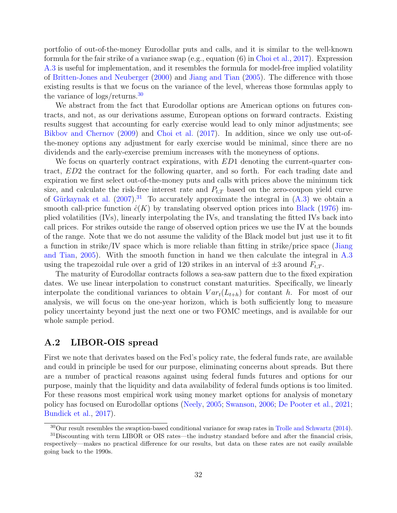portfolio of out-of-the-money Eurodollar puts and calls, and it is similar to the well-known formula for the fair strike of a variance swap (e.g., equation (6) in [Choi et al.,](#page-28-9) [2017\)](#page-28-9). Expression [A.3](#page-32-3) is useful for implementation, and it resembles the formula for model-free implied volatility of [Britten-Jones and Neuberger](#page-28-11) [\(2000\)](#page-28-11) and [Jiang and Tian](#page-29-11) [\(2005\)](#page-29-11). The difference with those existing results is that we focus on the variance of the level, whereas those formulas apply to the variance of logs/returns.[30](#page-33-1)

We abstract from the fact that Eurodollar options are American options on futures contracts, and not, as our derivations assume, European options on forward contracts. Existing results suggest that accounting for early exercise would lead to only minor adjustments; see [Bikbov and Chernov](#page-27-10) [\(2009\)](#page-27-10) and [Choi et al.](#page-28-9) [\(2017\)](#page-28-9). In addition, since we only use out-ofthe-money options any adjustment for early exercise would be minimal, since there are no dividends and the early-exercise premium increases with the moneyness of options.

We focus on quarterly contract expirations, with ED1 denoting the current-quarter contract, ED2 the contract for the following quarter, and so forth. For each trading date and expiration we first select out-of-the-money puts and calls with prices above the minimum tick size, and calculate the risk-free interest rate and  $P_{t,T}$  based on the zero-coupon yield curve of Gürkaynak et al.  $(2007)^{31}$  $(2007)^{31}$  $(2007)^{31}$  $(2007)^{31}$  To accurately approximate the integral in  $(A.3)$  we obtain a smooth call-price function  $\hat{c}(K)$  by translating observed option prices into [Black](#page-27-11) [\(1976\)](#page-27-11) implied volatilities (IVs), linearly interpolating the IVs, and translating the fitted IVs back into call prices. For strikes outside the range of observed option prices we use the IV at the bounds of the range. Note that we do not assume the validity of the Black model but just use it to fit a function in strike/IV space which is more reliable than fitting in strike/price space [\(Jiang](#page-29-11) [and Tian,](#page-29-11) [2005\)](#page-29-11). With the smooth function in hand we then calculate the integral in [A.3](#page-32-3) using the trapezoidal rule over a grid of 120 strikes in an interval of  $\pm 3$  around  $F_{t,T}$ .

The maturity of Eurodollar contracts follows a sea-saw pattern due to the fixed expiration dates. We use linear interpolation to construct constant maturities. Specifically, we linearly interpolate the conditional variances to obtain  $Var_t(L_{t+h})$  for contant h. For most of our analysis, we will focus on the one-year horizon, which is both sufficiently long to measure policy uncertainty beyond just the next one or two FOMC meetings, and is available for our whole sample period.

#### <span id="page-33-0"></span>A.2 LIBOR-OIS spread

First we note that derivates based on the Fed's policy rate, the federal funds rate, are available and could in principle be used for our purpose, eliminating concerns about spreads. But there are a number of practical reasons against using federal funds futures and options for our purpose, mainly that the liquidity and data availability of federal funds options is too limited. For these reasons most empirical work using money market options for analysis of monetary policy has focused on Eurodollar options [\(Neely,](#page-30-4) [2005;](#page-30-4) [Swanson,](#page-31-1) [2006;](#page-31-1) [De Pooter et al.,](#page-28-2) [2021;](#page-28-2) [Bundick et al.,](#page-28-1) [2017\)](#page-28-1).

<span id="page-33-2"></span><span id="page-33-1"></span><sup>&</sup>lt;sup>30</sup>Our result resembles the swaption-based conditional variance for swap rates in [Trolle and Schwartz](#page-31-4) [\(2014\)](#page-31-4).

<sup>&</sup>lt;sup>31</sup>Discounting with term LIBOR or OIS rates—the industry standard before and after the financial crisis, respectively—makes no practical difference for our results, but data on these rates are not easily available going back to the 1990s.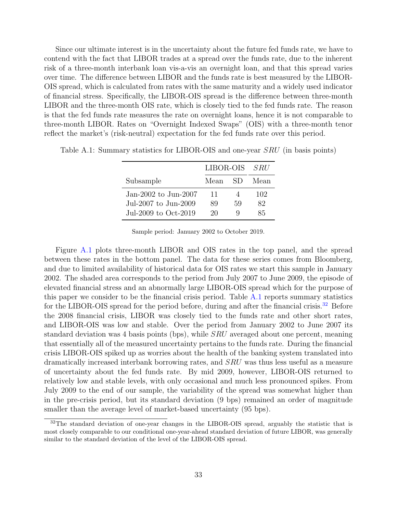Since our ultimate interest is in the uncertainty about the future fed funds rate, we have to contend with the fact that LIBOR trades at a spread over the funds rate, due to the inherent risk of a three-month interbank loan vis-a-vis an overnight loan, and that this spread varies over time. The difference between LIBOR and the funds rate is best measured by the LIBOR-OIS spread, which is calculated from rates with the same maturity and a widely used indicator of financial stress. Specifically, the LIBOR-OIS spread is the difference between three-month LIBOR and the three-month OIS rate, which is closely tied to the fed funds rate. The reason is that the fed funds rate measures the rate on overnight loans, hence it is not comparable to three-month LIBOR. Rates on "Overnight Indexed Swaps" (OIS) with a three-month tenor reflect the market's (risk-neutral) expectation for the fed funds rate over this period.

<span id="page-34-0"></span>

|                      | LIBOR-OIS SRU |     |      |
|----------------------|---------------|-----|------|
| Subsample            | Mean          | -SD | Mean |
| Jan-2002 to Jun-2007 | 11            |     | 102  |
| Jul-2007 to Jun-2009 | 89            | 59  | 82   |
| Jul-2009 to Oct-2019 | 20            | Q   | 85   |

Table A.1: Summary statistics for LIBOR-OIS and one-year SRU (in basis points)

Sample period: January 2002 to October 2019.

Figure [A.1](#page-35-0) plots three-month LIBOR and OIS rates in the top panel, and the spread between these rates in the bottom panel. The data for these series comes from Bloomberg, and due to limited availability of historical data for OIS rates we start this sample in January 2002. The shaded area corresponds to the period from July 2007 to June 2009, the episode of elevated financial stress and an abnormally large LIBOR-OIS spread which for the purpose of this paper we consider to be the financial crisis period. Table [A.1](#page-34-0) reports summary statistics for the LIBOR-OIS spread for the period before, during and after the financial crisis.<sup>[32](#page-34-1)</sup> Before the 2008 financial crisis, LIBOR was closely tied to the funds rate and other short rates, and LIBOR-OIS was low and stable. Over the period from January 2002 to June 2007 its standard deviation was 4 basis points (bps), while SRU averaged about one percent, meaning that essentially all of the measured uncertainty pertains to the funds rate. During the financial crisis LIBOR-OIS spiked up as worries about the health of the banking system translated into dramatically increased interbank borrowing rates, and SRU was thus less useful as a measure of uncertainty about the fed funds rate. By mid 2009, however, LIBOR-OIS returned to relatively low and stable levels, with only occasional and much less pronounced spikes. From July 2009 to the end of our sample, the variability of the spread was somewhat higher than in the pre-crisis period, but its standard deviation (9 bps) remained an order of magnitude smaller than the average level of market-based uncertainty  $(95 \text{ bps})$ .

<span id="page-34-1"></span><sup>&</sup>lt;sup>32</sup>The standard deviation of one-year changes in the LIBOR-OIS spread, arguably the statistic that is most closely comparable to our conditional one-year-ahead standard deviation of future LIBOR, was generally similar to the standard deviation of the level of the LIBOR-OIS spread.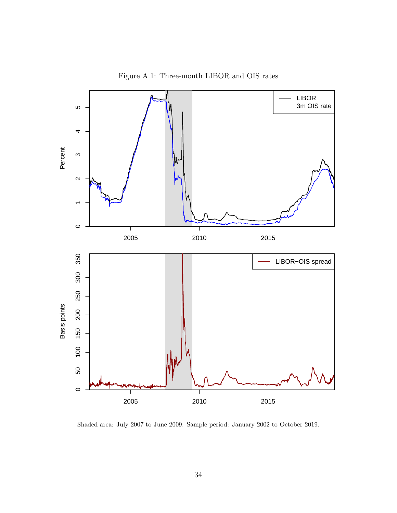

<span id="page-35-0"></span>Figure A.1: Three-month LIBOR and OIS rates

Shaded area: July 2007 to June 2009. Sample period: January 2002 to October 2019.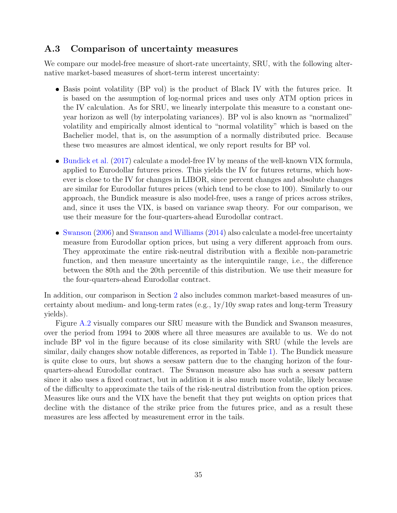#### <span id="page-36-0"></span>A.3 Comparison of uncertainty measures

We compare our model-free measure of short-rate uncertainty, SRU, with the following alternative market-based measures of short-term interest uncertainty:

- Basis point volatility (BP vol) is the product of Black IV with the futures price. It is based on the assumption of log-normal prices and uses only ATM option prices in the IV calculation. As for SRU, we linearly interpolate this measure to a constant oneyear horizon as well (by interpolating variances). BP vol is also known as "normalized" volatility and empirically almost identical to "normal volatility" which is based on the Bachelier model, that is, on the assumption of a normally distributed price. Because these two measures are almost identical, we only report results for BP vol.
- [Bundick et al.](#page-28-1) [\(2017\)](#page-28-1) calculate a model-free IV by means of the well-known VIX formula, applied to Eurodollar futures prices. This yields the IV for futures returns, which however is close to the IV for changes in LIBOR, since percent changes and absolute changes are similar for Eurodollar futures prices (which tend to be close to 100). Similarly to our approach, the Bundick measure is also model-free, uses a range of prices across strikes, and, since it uses the VIX, is based on variance swap theory. For our comparison, we use their measure for the four-quarters-ahead Eurodollar contract.
- [Swanson](#page-31-1) [\(2006\)](#page-31-1) and [Swanson and Williams](#page-31-2) [\(2014\)](#page-31-2) also calculate a model-free uncertainty measure from Eurodollar option prices, but using a very different approach from ours. They approximate the entire risk-neutral distribution with a flexible non-parametric function, and then measure uncertainty as the interquintile range, i.e., the difference between the 80th and the 20th percentile of this distribution. We use their measure for the four-quarters-ahead Eurodollar contract.

In addition, our comparison in Section [2](#page-6-0) also includes common market-based measures of uncertainty about medium- and long-term rates (e.g., 1y/10y swap rates and long-term Treasury yields).

Figure [A.2](#page-37-1) visually compares our SRU measure with the Bundick and Swanson measures, over the period from 1994 to 2008 where all three measures are available to us. We do not include BP vol in the figure because of its close similarity with SRU (while the levels are similar, daily changes show notable differences, as reported in Table [1\)](#page-10-0). The Bundick measure is quite close to ours, but shows a seesaw pattern due to the changing horizon of the fourquarters-ahead Eurodollar contract. The Swanson measure also has such a seesaw pattern since it also uses a fixed contract, but in addition it is also much more volatile, likely because of the difficulty to approximate the tails of the risk-neutral distribution from the option prices. Measures like ours and the VIX have the benefit that they put weights on option prices that decline with the distance of the strike price from the futures price, and as a result these measures are less affected by measurement error in the tails.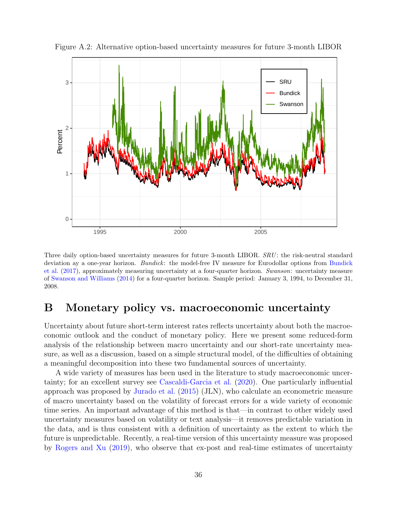

<span id="page-37-1"></span>Figure A.2: Alternative option-based uncertainty measures for future 3-month LIBOR

Three daily option-based uncertainty measures for future 3-month LIBOR. SRU: the risk-neutral standard deviation ay a one-year horizon. [Bundick](#page-28-1): the model-free IV measure for Eurodollar options from Bundick [et al.](#page-28-1) [\(2017\)](#page-28-1), approximately measuring uncertainty at a four-quarter horizon. Swanson: uncertainty measure of [Swanson and Williams](#page-31-2) [\(2014\)](#page-31-2) for a four-quarter horizon. Sample period: January 3, 1994, to December 31, 2008.

# <span id="page-37-0"></span>B Monetary policy vs. macroeconomic uncertainty

Uncertainty about future short-term interest rates reflects uncertainty about both the macroeconomic outlook and the conduct of monetary policy. Here we present some reduced-form analysis of the relationship between macro uncertainty and our short-rate uncertainty measure, as well as a discussion, based on a simple structural model, of the difficulties of obtaining a meaningful decomposition into these two fundamental sources of uncertainty.

A wide variety of measures has been used in the literature to study macroeconomic uncertainty; for an excellent survey see [Cascaldi-Garcia et al.](#page-28-12) [\(2020\)](#page-28-12). One particularly influential approach was proposed by [Jurado et al.](#page-30-9) [\(2015\)](#page-30-9) (JLN), who calculate an econometric measure of macro uncertainty based on the volatility of forecast errors for a wide variety of economic time series. An important advantage of this method is that—in contrast to other widely used uncertainty measures based on volatility or text analysis—it removes predictable variation in the data, and is thus consistent with a definition of uncertainty as the extent to which the future is unpredictable. Recently, a real-time version of this uncertainty measure was proposed by [Rogers and Xu](#page-31-5) [\(2019\)](#page-31-5), who observe that ex-post and real-time estimates of uncertainty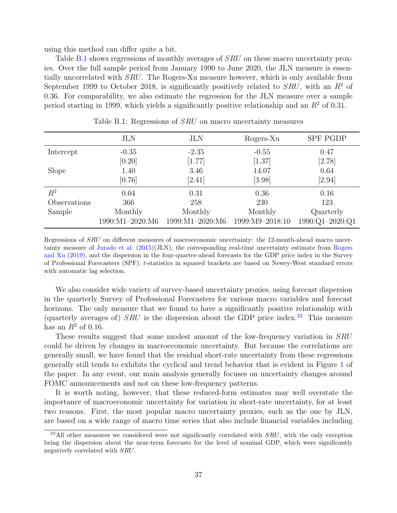using this method can differ quite a bit.

Table [B.1](#page-38-0) shows regressions of monthly averages of SRU on these macro uncertainty proxies. Over the full sample period from January 1990 to June 2020, the JLN measure is essentially uncorrelated with SRU. The Rogers-Xu measure however, which is only available from September 1999 to October 2018, is significantly positively related to  $SRU$ , with an  $R^2$  of 0.36. For comparability, we also estimate the regression for the JLN measure over a sample period starting in 1999, which yields a significantly positive relationship and an  $R<sup>2</sup>$  of 0.31.

|              | <b>JLN</b>      | <b>JLN</b>      | Rogers-Xu       | <b>SPF PGDP</b> |
|--------------|-----------------|-----------------|-----------------|-----------------|
| Intercept    | $-0.35$         | $-2.35$         | $-0.55$         | 0.47            |
|              | [0.20]          | [1.77]          | [1.37]          | [2.78]          |
| Slope        | 1.40            | 3.46            | 14.07           | 0.64            |
|              | [0.76]          | [2.41]          | [3.98]          | [2.94]          |
| $R^2$        | 0.04            | 0.31            | 0.36            | 0.16            |
| Observations | 366             | 258             | 230             | 123             |
| Sample       | Monthly         | Monthly         | Monthly         | Quarterly       |
|              | 1990:M1-2020:M6 | 1999:M1-2020:M6 | 1999:M9-2018:10 | 1990:Q1-2020:Q1 |

<span id="page-38-0"></span>Table B.1: Regressions of *SRU* on macro uncertainty measures

Regressions of SRU on different measures of macroeconomic uncertainty: the 12-month-ahead macro uncertainty measure of [Jurado et al.](#page-30-9) [\(2015\)](#page-30-9)(JLN), the corresponding real-time uncertainty estimate from [Rogers](#page-31-5) [and Xu](#page-31-5) [\(2019\)](#page-31-5), and the dispersion in the four-quarter-ahead forecasts for the GDP price index in the Survey of Professional Forecasters (SPF). t-statistics in squared brackets are based on Newey-West standard errors with automatic lag selection.

We also consider wide variety of survey-based uncertainty proxies, using forecast dispersion in the quarterly Survey of Professional Forecasters for various macro variables and forecast horizons. The only measure that we found to have a significantly positive relationship with (quarterly averages of)  $SRU$  is the dispersion about the GDP price index.<sup>[33](#page-38-1)</sup> This measure has an  $R^2$  of 0.16.

These results suggest that some modest amount of the low-frequency variation in SRU could be driven by changes in macroeconomic uncertainty. But because the correlations are generally small, we have found that the residual short-rate uncertainty from these regressions generally still tends to exhibits the cyclical and trend behavior that is evident in Figure [1](#page-7-0) of the paper. In any event, our main analysis generally focuses on uncertainty changes around FOMC announcements and not on these low-frequency patterns.

It is worth noting, however, that these reduced-form estimates may well overstate the importance of macroeconomic uncertainty for variation in short-rate uncertainty, for at least two reasons. First, the most popular macro uncertainty proxies, such as the one by JLN, are based on a wide range of macro time series that also include financial variables including

<span id="page-38-1"></span> $33$ All other measures we considered were not significantly correlated with  $SRU$ , with the only exception being the dispersion about the near-term forecasts for the level of nominal GDP, which were significantly negatively correlated with SRU.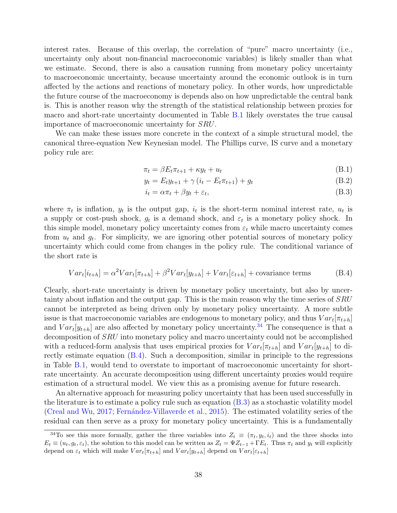interest rates. Because of this overlap, the correlation of "pure" macro uncertainty (i.e., uncertainty only about non-financial macroeconomic variables) is likely smaller than what we estimate. Second, there is also a causation running from monetary policy uncertainty to macroeconomic uncertainty, because uncertainty around the economic outlook is in turn affected by the actions and reactions of monetary policy. In other words, how unpredictable the future course of the macroeconomy is depends also on how unpredictable the central bank is. This is another reason why the strength of the statistical relationship between proxies for macro and short-rate uncertainty documented in Table [B.1](#page-38-0) likely overstates the true causal importance of macroeconomic uncertainty for SRU.

We can make these issues more concrete in the context of a simple structural model, the canonical three-equation New Keynesian model. The Phillips curve, IS curve and a monetary policy rule are:

$$
\pi_t = \beta E_t \pi_{t+1} + \kappa y_t + u_t \tag{B.1}
$$

$$
y_t = E_t y_{t+1} + \gamma (i_t - E_t \pi_{t+1}) + g_t
$$
 (B.2)

<span id="page-39-2"></span><span id="page-39-1"></span>
$$
i_t = \alpha \pi_t + \beta y_t + \varepsilon_t,\tag{B.3}
$$

where  $\pi_t$  is inflation,  $y_t$  is the output gap,  $i_t$  is the short-term nominal interest rate,  $u_t$  is a supply or cost-push shock,  $g_t$  is a demand shock, and  $\varepsilon_t$  is a monetary policy shock. In this simple model, monetary policy uncertainty comes from  $\varepsilon_t$  while macro uncertainty comes from  $u_t$  and  $g_t$ . For simplicity, we are ignoring other potential sources of monetary policy uncertainty which could come from changes in the policy rule. The conditional variance of the short rate is

$$
Var_t[i_{t+h}] = \alpha^2 Var_t[\pi_{t+h}] + \beta^2 Var_t[y_{t+h}] + Var_t[\varepsilon_{t+h}] + \text{covariance terms} \tag{B.4}
$$

Clearly, short-rate uncertainty is driven by monetary policy uncertainty, but also by uncertainty about inflation and the output gap. This is the main reason why the time series of SRU cannot be interpreted as being driven only by monetary policy uncertainty. A more subtle issue is that macroeconomic variables are endogenous to monetary policy, and thus  $Var_t[\pi_{t+h}]$ and  $Var_t[y_{t+h}]$  are also affected by monetary policy uncertainty.<sup>[34](#page-39-0)</sup> The consequence is that a decomposition of SRU into monetary policy and macro uncertainty could not be accomplished with a reduced-form analysis that uses empirical proxies for  $Var_t[\pi_{t+h}]$  and  $Var_t[y_{t+h}]$  to directly estimate equation [\(B.4\)](#page-39-1). Such a decomposition, similar in principle to the regressions in Table [B.1,](#page-38-0) would tend to overstate to important of macroeconomic uncertainty for shortrate uncertainty. An accurate decomposition using different uncertainty proxies would require estimation of a structural model. We view this as a promising avenue for future research.

An alternative approach for measuring policy uncertainty that has been used successfully in the literature is to estimate a policy rule such as equation [\(B.3\)](#page-39-2) as a stochastic volatility model [\(Creal and Wu,](#page-28-7) [2017;](#page-28-7) Fernández-Villaverde et al., [2015\)](#page-29-6). The estimated volatility series of the residual can then serve as a proxy for monetary policy uncertainty. This is a fundamentally

<span id="page-39-0"></span><sup>&</sup>lt;sup>34</sup>To see this more formally, gather the three variables into  $Z_t \equiv (\pi_t, y_t, i_t)$  and the three shocks into  $E_t \equiv (u_t, g_t, \varepsilon_t)$ , the solution to this model can be written as  $Z_t = \Psi Z_{t-1} + \Gamma E_t$ . Thus  $\pi_t$  and  $y_t$  will explicitly depend on  $\varepsilon_t$  which will make  $Var_t[\pi_{t+h}]$  and  $Var_t[y_{t+h}]$  depend on  $Var_t[\varepsilon_{t+h}]$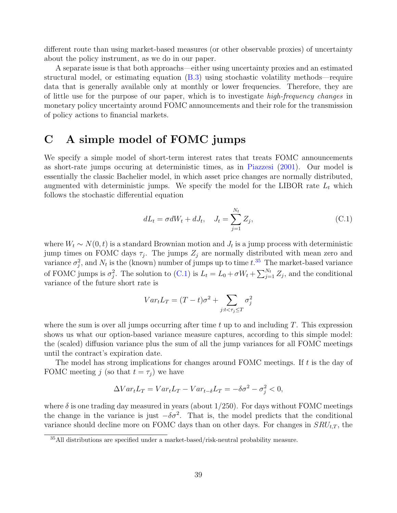different route than using market-based measures (or other observable proxies) of uncertainty about the policy instrument, as we do in our paper.

A separate issue is that both approachs—either using uncertainty proxies and an estimated structural model, or estimating equation [\(B.3\)](#page-39-2) using stochastic volatility methods—require data that is generally available only at monthly or lower frequencies. Therefore, they are of little use for the purpose of our paper, which is to investigate high-frequency changes in monetary policy uncertainty around FOMC announcements and their role for the transmission of policy actions to financial markets.

# <span id="page-40-0"></span>C A simple model of FOMC jumps

We specify a simple model of short-term interest rates that treats FOMC announcements as short-rate jumps occuring at deterministic times, as in [Piazzesi](#page-31-3) [\(2001\)](#page-31-3). Our model is essentially the classic Bachelier model, in which asset price changes are normally distributed, augmented with deterministic jumps. We specify the model for the LIBOR rate  $L_t$  which follows the stochastic differential equation

<span id="page-40-2"></span>
$$
dL_t = \sigma dW_t + dJ_t, \quad J_t = \sum_{j=1}^{N_t} Z_j,
$$
\n(C.1)

where  $W_t \sim N(0, t)$  is a standard Brownian motion and  $J_t$  is a jump process with deterministic jump times on FOMC days  $\tau_j$ . The jumps  $Z_j$  are normally distributed with mean zero and variance  $\sigma_j^2$ , and  $N_t$  is the (known) number of jumps up to time  $t^{0.35}$  $t^{0.35}$  $t^{0.35}$ . The market-based variance of FOMC jumps is  $\sigma_j^2$ . The solution to [\(C.1\)](#page-40-2) is  $L_t = L_0 + \sigma W_t + \sum_{j=1}^{N_t} Z_j$ , and the conditional variance of the future short rate is

$$
Var_t L_T = (T - t)\sigma^2 + \sum_{j:t < \tau_j \le T} \sigma_j^2
$$

where the sum is over all jumps occurring after time t up to and including  $T$ . This expression shows us what our option-based variance measure captures, according to this simple model: the (scaled) diffusion variance plus the sum of all the jump variances for all FOMC meetings until the contract's expiration date.

The model has strong implications for changes around FOMC meetings. If t is the day of FOMC meeting j (so that  $t = \tau_j$ ) we have

$$
\Delta Var_t L_T = Var_t L_T - Var_{t-\delta} L_T = -\delta \sigma^2 - \sigma_j^2 < 0,
$$

where  $\delta$  is one trading day measured in years (about 1/250). For days without FOMC meetings the change in the variance is just  $-\delta\sigma^2$ . That is, the model predicts that the conditional variance should decline more on FOMC days than on other days. For changes in  $SRU_{t,T}$ , the

<span id="page-40-1"></span><sup>35</sup>All distributions are specified under a market-based/risk-neutral probability measure.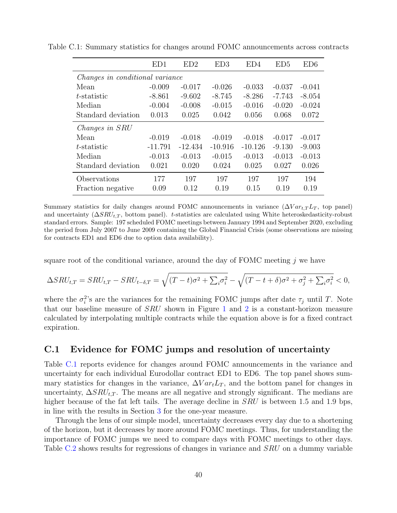<span id="page-41-0"></span>

|                    | ED1                             | ED2       | ED3       | ED4       | ED5      | ED6      |  |  |
|--------------------|---------------------------------|-----------|-----------|-----------|----------|----------|--|--|
|                    | Changes in conditional variance |           |           |           |          |          |  |  |
| Mean               | $-0.009$                        | $-0.017$  | $-0.026$  | $-0.033$  | $-0.037$ | $-0.041$ |  |  |
| $t$ -statistic     | $-8.861$                        | $-9.602$  | $-8.745$  | $-8.286$  | $-7.743$ | $-8.054$ |  |  |
| Median             | $-0.004$                        | $-0.008$  | $-0.015$  | $-0.016$  | $-0.020$ | $-0.024$ |  |  |
| Standard deviation | 0.013                           | 0.025     | 0.042     | 0.056     | 0.068    | 0.072    |  |  |
| Changes in SRU     |                                 |           |           |           |          |          |  |  |
| Mean               | $-0.019$                        | $-0.018$  | $-0.019$  | $-0.018$  | $-0.017$ | $-0.017$ |  |  |
| t-statistic        | $-11.791$                       | $-12.434$ | $-10.916$ | $-10.126$ | $-9.130$ | $-9.003$ |  |  |
| Median             | $-0.013$                        | $-0.013$  | $-0.015$  | $-0.013$  | $-0.013$ | $-0.013$ |  |  |
| Standard deviation | 0.021                           | 0.020     | 0.024     | 0.025     | 0.027    | 0.026    |  |  |
| Observations       | 177                             | 197       | 197       | 197       | 197      | 194      |  |  |
| Fraction negative  | 0.09                            | 0.12      | 0.19      | 0.15      | 0.19     | 0.19     |  |  |

Table C.1: Summary statistics for changes around FOMC announcements across contracts

Summary statistics for daily changes around FOMC announcements in variance  $(\Delta Var_{t,T}L_T,$  top panel) and uncertainty  $(\Delta SRU_{t,T})$ , bottom panel). t-statistics are calculated using White heteroskedasticity-robust standard errors. Sample: 197 scheduled FOMC meetings between January 1994 and September 2020, excluding the period from July 2007 to June 2009 containing the Global Financial Crisis (some observations are missing for contracts ED1 and ED6 due to option data availability).

square root of the conditional variance, around the day of FOMC meeting  $j$  we have

$$
\Delta SRU_{t,T} = SRU_{t,T} - SRU_{t-\delta,T} = \sqrt{(T-t)\sigma^2 + \sum_i \sigma_i^2} - \sqrt{(T-t+\delta)\sigma^2 + \sigma_j^2 + \sum_i \sigma_i^2} < 0,
$$

where the  $\sigma_i^2$ 's are the variances for the remaining FOMC jumps after date  $\tau_j$  until T. Note that our baseline measure of SRU shown in Figure [1](#page-7-0) and [2](#page-12-0) is a constant-horizon measure calculated by interpolating multiple contracts while the equation above is for a fixed contract expiration.

#### C.1 Evidence for FOMC jumps and resolution of uncertainty

Table [C.1](#page-41-0) reports evidence for changes around FOMC announcements in the variance and uncertainty for each individual Eurodollar contract ED1 to ED6. The top panel shows summary statistics for changes in the variance,  $\Delta Var_t L_T$ , and the bottom panel for changes in uncertainty,  $\Delta SRU_{t,T}$ . The means are all negative and strongly significant. The medians are higher because of the fat left tails. The average decline in *SRU* is between 1.5 and 1.9 bps, in line with the results in Section [3](#page-11-2) for the one-year measure.

Through the lens of our simple model, uncertainty decreases every day due to a shortening of the horizon, but it decreases by more around FOMC meetings. Thus, for understanding the importance of FOMC jumps we need to compare days with FOMC meetings to other days. Table [C.2](#page-42-0) shows results for regressions of changes in variance and *SRU* on a dummy variable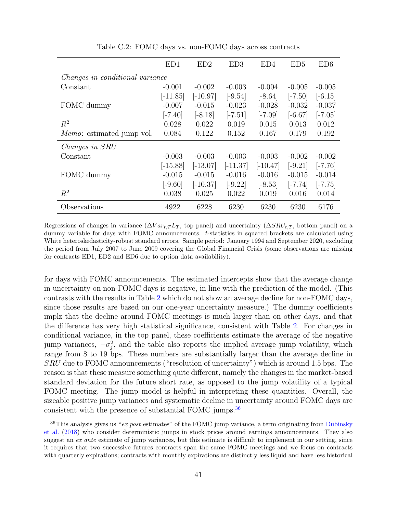|                                        | ED1        | ED2        | ED3        | ED4        | ED5       | ED6       |  |  |
|----------------------------------------|------------|------------|------------|------------|-----------|-----------|--|--|
| <i>Changes in conditional variance</i> |            |            |            |            |           |           |  |  |
| Constant                               | $-0.001$   | $-0.002$   | $-0.003$   | $-0.004$   | $-0.005$  | $-0.005$  |  |  |
|                                        | $[-11.85]$ | $[-10.97]$ | $[-9.54]$  | $[-8.64]$  | $[-7.50]$ | $[-6.15]$ |  |  |
| FOMC dummy                             | $-0.007$   | $-0.015$   | $-0.023$   | $-0.028$   | $-0.032$  | $-0.037$  |  |  |
|                                        | $[-7.40]$  | $[-8.18]$  | $[-7.51]$  | $[-7.09]$  | $[-6.67]$ | $[-7.05]$ |  |  |
| $R^2$                                  | 0.028      | 0.022      | 0.019      | 0.015      | 0.013     | 0.012     |  |  |
| <i>Memo</i> : estimated jump vol.      | 0.084      | 0.122      | 0.152      | 0.167      | 0.179     | 0.192     |  |  |
| Changes in SRU                         |            |            |            |            |           |           |  |  |
| Constant                               | $-0.003$   | $-0.003$   | $-0.003$   | $-0.003$   | $-0.002$  | $-0.002$  |  |  |
|                                        | $[-15.88]$ | $[-13.07]$ | $[-11.37]$ | $[-10.47]$ | $[-9.21]$ | $[-7.76]$ |  |  |
| FOMC dummy                             | $-0.015$   | $-0.015$   | $-0.016$   | $-0.016$   | $-0.015$  | $-0.014$  |  |  |
|                                        | $[-9.60]$  | $[-10.37]$ | $[-9.22]$  | $[-8.53]$  | $[-7.74]$ | $[-7.75]$ |  |  |
| $R^2$                                  | 0.038      | 0.025      | 0.022      | 0.019      | 0.016     | 0.014     |  |  |
| Observations                           | 4922       | 6228       | 6230       | 6230       | 6230      | 6176      |  |  |

<span id="page-42-0"></span>Table C.2: FOMC days vs. non-FOMC days across contracts

Regressions of changes in variance  $(\Delta Var_{t,T}L_T$ , top panel) and uncertainty  $(\Delta SRU_{t,T})$ , bottom panel) on a dummy variable for days with FOMC announcements. t-statistics in squared brackets are calculated using White heteroskedasticity-robust standard errors. Sample period: January 1994 and September 2020, excluding the period from July 2007 to June 2009 covering the Global Financial Crisis (some observations are missing for contracts ED1, ED2 and ED6 due to option data availability).

for days with FOMC announcements. The estimated intercepts show that the average change in uncertainty on non-FOMC days is negative, in line with the prediction of the model. (This contrasts with the results in Table [2](#page-13-0) which do not show an average decline for non-FOMC days, since those results are based on our one-year uncertainty measure.) The dummy coefficients implz that the decline around FOMC meetings is much larger than on other days, and that the difference has very high statistical significance, consistent with Table [2.](#page-13-0) For changes in conditional variance, in the top panel, these coefficients estimate the average of the negative jump variances,  $-\sigma_j^2$ , and the table also reports the implied average jump volatility, which range from 8 to 19 bps. These numbers are substantially larger than the average decline in SRU due to FOMC announcements ("resolution of uncertainty") which is around 1.5 bps. The reason is that these measure something quite different, namely the changes in the market-based standard deviation for the future short rate, as opposed to the jump volatility of a typical FOMC meeting. The jump model is helpful in interpreting these quantities. Overall, the sizeable positive jump variances and systematic decline in uncertainty around FOMC days are consistent with the presence of substantial FOMC jumps.<sup>[36](#page-42-1)</sup>

<span id="page-42-1"></span> $36$ This analysis gives us "ex post estimates" of the FOMC jump variance, a term originating from [Dubinsky](#page-28-13) [et al.](#page-28-13) [\(2018\)](#page-28-13) who consider deterministic jumps in stock prices around earnings announcements. They also suggest an ex ante estimate of jump variances, but this estimate is difficult to implement in our setting, since it requires that two successive futures contracts span the same FOMC meetings and we focus on contracts with quarterly expirations; contracts with monthly expirations are distinctly less liquid and have less historical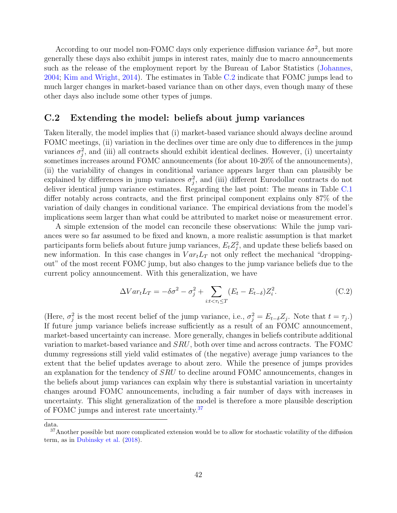According to our model non-FOMC days only experience diffusion variance  $\delta \sigma^2$ , but more generally these days also exhibit jumps in interest rates, mainly due to macro announcements such as the release of the employment report by the Bureau of Labor Statistics [\(Johannes,](#page-29-12) [2004;](#page-29-12) [Kim and Wright,](#page-30-10) [2014\)](#page-30-10). The estimates in Table [C.2](#page-42-0) indicate that FOMC jumps lead to much larger changes in market-based variance than on other days, even though many of these other days also include some other types of jumps.

#### C.2 Extending the model: beliefs about jump variances

Taken literally, the model implies that (i) market-based variance should always decline around FOMC meetings, (ii) variation in the declines over time are only due to differences in the jump variances  $\sigma_j^2$ , and (iii) all contracts should exhibit identical declines. However, (i) uncertainty sometimes increases around FOMC announcements (for about 10-20% of the announcements), (ii) the variability of changes in conditional variance appears larger than can plausibly be explained by differences in jump variances  $\sigma_j^2$ , and (iii) different Eurodollar contracts do not deliver identical jump variance estimates. Regarding the last point: The means in Table [C.1](#page-41-0) differ notably across contracts, and the first principal component explains only 87% of the variation of daily changes in conditional variance. The empirical deviations from the model's implications seem larger than what could be attributed to market noise or measurement error.

A simple extension of the model can reconcile these observations: While the jump variances were so far assumed to be fixed and known, a more realistic assumption is that market participants form beliefs about future jump variances,  $E_t Z_j^2$ , and update these beliefs based on new information. In this case changes in  $Var<sub>t</sub>L<sub>T</sub>$  not only reflect the mechanical "droppingout" of the most recent FOMC jump, but also changes to the jump variance beliefs due to the current policy announcement. With this generalization, we have

$$
\Delta Var_t L_T = -\delta \sigma^2 - \sigma_j^2 + \sum_{i:t < \tau_i \le T} (E_t - E_{t-\delta}) Z_i^2.
$$
 (C.2)

(Here,  $\sigma_j^2$  is the most recent belief of the jump variance, i.e.,  $\sigma_j^2 = E_{t-\delta} Z_j$ . Note that  $t = \tau_j$ .) If future jump variance beliefs increase sufficiently as a result of an FOMC announcement, market-based uncertainty can increase. More generally, changes in beliefs contribute additional variation to market-based variance and SRU, both over time and across contracts. The FOMC dummy regressions still yield valid estimates of (the negative) average jump variances to the extent that the belief updates average to about zero. While the presence of jumps provides an explanation for the tendency of SRU to decline around FOMC announcements, changes in the beliefs about jump variances can explain why there is substantial variation in uncertainty changes around FOMC announcements, including a fair number of days with increases in uncertainty. This slight generalization of the model is therefore a more plausible description of FOMC jumps and interest rate uncertainty.<sup>[37](#page-43-0)</sup>

data.

<span id="page-43-0"></span><sup>&</sup>lt;sup>37</sup>Another possible but more complicated extension would be to allow for stochastic volatility of the diffusion term, as in [Dubinsky et al.](#page-28-13) [\(2018\)](#page-28-13).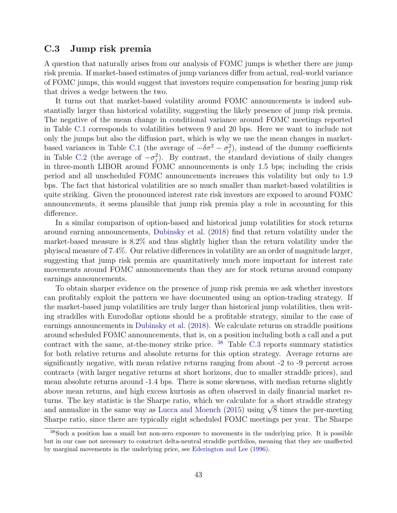#### C.3 Jump risk premia

A question that naturally arises from our analysis of FOMC jumps is whether there are jump risk premia. If market-based estimates of jump variances differ from actual, real-world variance of FOMC jumps, this would suggest that investors require compensation for bearing jump risk that drives a wedge between the two.

It turns out that market-based volatility around FOMC announcements is indeed substantially larger than historical volatility, suggesting the likely presence of jump risk premia. The negative of the mean change in conditional variance around FOMC meetings reported in Table [C.1](#page-41-0) corresponds to volatilities between 9 and 20 bps. Here we want to include not only the jumps but also the diffusion part, which is why we use the mean changes in market-based variances in Table [C.1](#page-41-0) (the average of  $-\delta\sigma^2 - \sigma_j^2$ ), instead of the dummy coefficients in Table [C.2](#page-42-0) (the average of  $-\sigma_j^2$ ). By contrast, the standard deviations of daily changes in three-month LIBOR around FOMC announcements is only 1.5 bps; including the crisis period and all unscheduled FOMC announcements increases this volatility but only to 1.9 bps. The fact that historical volatilities are so much smaller than market-based volatilities is quite striking. Given the pronounced interest rate risk investors are exposed to around FOMC announcements, it seems plausible that jump risk premia play a role in accounting for this difference.

In a similar comparison of option-based and historical jump volatilities for stock returns around earning announcements, [Dubinsky et al.](#page-28-13) [\(2018\)](#page-28-13) find that return volatility under the market-based measure is 8.2% and thus slightly higher than the return volatility under the phyiscal measure of 7.4%. Our relative differences in volatility are an order of magnitude larger, suggesting that jump risk premia are quantitatively much more important for interest rate movements around FOMC announcements than they are for stock returns around company earnings announcements.

To obtain sharper evidence on the presence of jump risk premia we ask whether investors can profitably exploit the pattern we have documented using an option-trading strategy. If the market-based jump volatilities are truly larger than historical jump volatilities, then writing straddles with Eurodollar options should be a profitable strategy, similar to the case of earnings announcements in [Dubinsky et al.](#page-28-13) [\(2018\)](#page-28-13). We calculate returns on straddle positions around scheduled FOMC announcements, that is, on a position including both a call and a put contract with the same, at-the-money strike price.  $38$  Table [C.3](#page-45-0) reports summary statistics for both relative returns and absolute returns for this option strategy. Average returns are significantly negative, with mean relative returns ranging from about -2 to -9 percent across contracts (with larger negative returns at short horizons, due to smaller straddle prices), and mean absolute returns around -1.4 bps. There is some skewness, with median returns slightly above mean returns, and high excess kurtosis as often observed in daily financial market returns. The key statistic is the Sharpe ratio, which we calculate for a short straddle strategy turns. The key statistic is the sharpe ratio, which we calculate for a short stradule strategy<br>and annualize in the same way as [Lucca and Moench](#page-30-5) [\(2015\)](#page-30-5) using  $\sqrt{8}$  times the per-meeting Sharpe ratio, since there are typically eight scheduled FOMC meetings per year. The Sharpe

<span id="page-44-0"></span><sup>38</sup>Such a position has a small but non-zero exposure to movements in the underlying price. It is possible but in our case not necessary to construct delta-neutral straddle portfolios, meaning that they are unaffected by marginal movements in the underlying price, see [Ederington and Lee](#page-28-3) [\(1996\)](#page-28-3).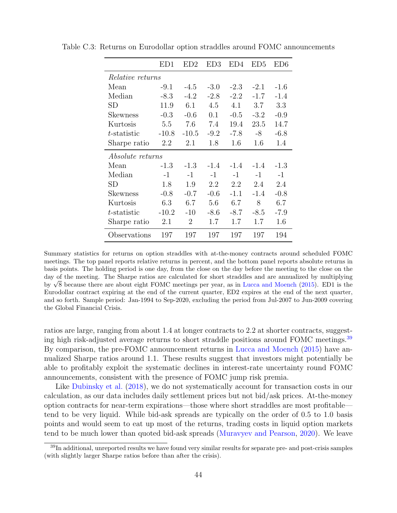<span id="page-45-0"></span>

|                         | ED1                     | ED2     | ED3    | ED4    | ED5    | ED6    |  |  |  |
|-------------------------|-------------------------|---------|--------|--------|--------|--------|--|--|--|
|                         | <i>Relative returns</i> |         |        |        |        |        |  |  |  |
| Mean                    | $-9.1$                  | $-4.5$  | $-3.0$ | $-2.3$ | $-2.1$ | $-1.6$ |  |  |  |
| Median                  | $-8.3$                  | $-4.2$  | $-2.8$ | $-2.2$ | $-1.7$ | $-1.4$ |  |  |  |
| SD                      | 11.9                    | 6.1     | 4.5    | 4.1    | 3.7    | 3.3    |  |  |  |
| Skewness                | $-0.3$                  | $-0.6$  | 0.1    | $-0.5$ | $-3.2$ | $-0.9$ |  |  |  |
| Kurtosis                | 5.5                     | 7.6     | 7.4    | 19.4   | 23.5   | 14.7   |  |  |  |
| t-statistic             | $-10.8$                 | $-10.5$ | $-9.2$ | -7.8   | -8     | $-6.8$ |  |  |  |
| Sharpe ratio            | 2.2                     | 2.1     | 1.8    | 1.6    | 1.6    | 1.4    |  |  |  |
| <i>Absolute returns</i> |                         |         |        |        |        |        |  |  |  |
| Mean                    | $-1.3$                  | $-1.3$  | $-1.4$ | $-1.4$ | $-1.4$ | $-1.3$ |  |  |  |
| Median                  | $-1$                    | $-1$    | $-1$   | $-1$   | $-1$   | $-1$   |  |  |  |
| SD                      | 1.8                     | 1.9     | 2.2    | 2.2    | 2.4    | 2.4    |  |  |  |
| Skewness                | $-0.8$                  | $-0.7$  | $-0.6$ | $-1.1$ | $-1.4$ | $-0.8$ |  |  |  |
| Kurtosis                | 6.3                     | 6.7     | 5.6    | 6.7    | 8      | 6.7    |  |  |  |
| t-statistic             | $-10.2$                 | $-10$   | -8.6   | $-8.7$ | $-8.5$ | -7.9   |  |  |  |
| Sharpe ratio            | 2.1                     | 2       | 1.7    | 1.7    | 1.7    | 1.6    |  |  |  |
| Observations            | 197                     | 197     | 197    | 197    | 197    | 194    |  |  |  |

Table C.3: Returns on Eurodollar option straddles around FOMC announcements

Summary statistics for returns on option straddles with at-the-money contracts around scheduled FOMC meetings. The top panel reports relative returns in percent, and the bottom panel reports absolute returns in basis points. The holding period is one day, from the close on the day before the meeting to the close on the day of the meeting. The Sharpe ratios are calculated for short straddles and are annualized by multiplying day of the meeting. The sharpe ratios are calculated for short stradules and are annualized by multiplying by  $\sqrt{8}$  because there are about eight FOMC meetings per year, as in [Lucca and Moench](#page-30-5) [\(2015\)](#page-30-5). ED1 is the Eurodollar contract expiring at the end of the current quarter, ED2 expires at the end of the next quarter, and so forth. Sample period: Jan-1994 to Sep-2020, excluding the period from Jul-2007 to Jun-2009 covering the Global Financial Crisis.

ratios are large, ranging from about 1.4 at longer contracts to 2.2 at shorter contracts, suggest-ing high risk-adjusted average returns to short straddle positions around FOMC meetings.<sup>[39](#page-45-1)</sup> By comparison, the pre-FOMC announcement returns in [Lucca and Moench](#page-30-5) [\(2015\)](#page-30-5) have annualized Sharpe ratios around 1.1. These results suggest that investors might potentially be able to profitably exploit the systematic declines in interest-rate uncertainty round FOMC announcements, consistent with the presence of FOMC jump risk premia.

Like [Dubinsky et al.](#page-28-13) [\(2018\)](#page-28-13), we do not systematically account for transaction costs in our calculation, as our data includes daily settlement prices but not bid/ask prices. At-the-money option contracts for near-term expirations—those where short straddles are most profitable tend to be very liquid. While bid-ask spreads are typically on the order of 0.5 to 1.0 basis points and would seem to eat up most of the returns, trading costs in liquid option markets tend to be much lower than quoted bid-ask spreads [\(Muravyev and Pearson,](#page-30-11) [2020\)](#page-30-11). We leave

<span id="page-45-1"></span><sup>39</sup>In additional, unreported results we have found very similar results for separate pre- and post-crisis samples (with slightly larger Sharpe ratios before than after the crisis).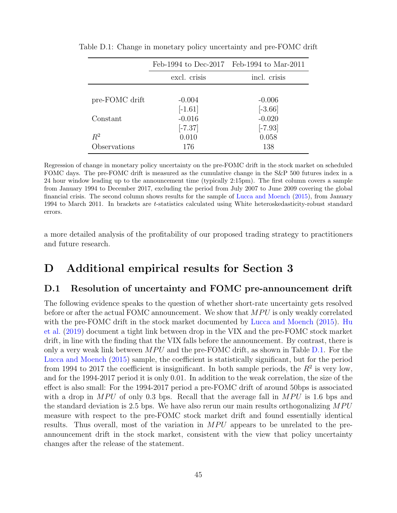<span id="page-46-1"></span>

|                |              | Feb-1994 to Dec-2017 Feb-1994 to Mar-2011 |
|----------------|--------------|-------------------------------------------|
|                | excl. crisis | incl. crisis                              |
|                |              |                                           |
| pre-FOMC drift | $-0.004$     | $-0.006$                                  |
|                | $[-1.61]$    | $[-3.66]$                                 |
| Constant       | $-0.016$     | $-0.020$                                  |
|                | $[-7.37]$    | $[-7.93]$                                 |
| $R^2$          | 0.010        | 0.058                                     |
| Observations   | 176          | 138                                       |

Table D.1: Change in monetary policy uncertainty and pre-FOMC drift

Regression of change in monetary policy uncertainty on the pre-FOMC drift in the stock market on scheduled FOMC days. The pre-FOMC drift is measured as the cumulative change in the S&P 500 futures index in a 24 hour window leading up to the announcement time (typically 2:15pm). The first column covers a sample from January 1994 to December 2017, excluding the period from July 2007 to June 2009 covering the global financial crisis. The second column shows results for the sample of [Lucca and Moench](#page-30-5) [\(2015\)](#page-30-5), from January 1994 to March 2011. In brackets are t-statistics calculated using White heteroskedasticity-robust standard errors.

a more detailed analysis of the profitability of our proposed trading strategy to practitioners and future research.

## D Additional empirical results for Section 3

#### <span id="page-46-0"></span>D.1 Resolution of uncertainty and FOMC pre-announcement drift

The following evidence speaks to the question of whether short-rate uncertainty gets resolved before or after the actual FOMC announcement. We show that  $MPU$  is only weakly correlated with the pre-FOMC drift in the stock market documented by [Lucca and Moench](#page-30-5) [\(2015\)](#page-30-5). [Hu](#page-29-7) [et al.](#page-29-7) [\(2019\)](#page-29-7) document a tight link between drop in the VIX and the pre-FOMC stock market drift, in line with the finding that the VIX falls before the announcement. By contrast, there is only a very weak link between  $MPU$  and the pre-FOMC drift, as shown in Table [D.1.](#page-46-1) For the [Lucca and Moench](#page-30-5) [\(2015\)](#page-30-5) sample, the coefficient is statistically significant, but for the period from 1994 to 2017 the coefficient is insignificant. In both sample periods, the  $R^2$  is very low, and for the 1994-2017 period it is only 0.01. In addition to the weak correlation, the size of the effect is also small: For the 1994-2017 period a pre-FOMC drift of around 50bps is associated with a drop in  $MPU$  of only 0.3 bps. Recall that the average fall in  $MPU$  is 1.6 bps and the standard deviation is 2.5 bps. We have also rerun our main results orthogonalizing  $MPU$ measure with respect to the pre-FOMC stock market drift and found essentially identical results. Thus overall, most of the variation in  $MPU$  appears to be unrelated to the preannouncement drift in the stock market, consistent with the view that policy uncertainty changes after the release of the statement.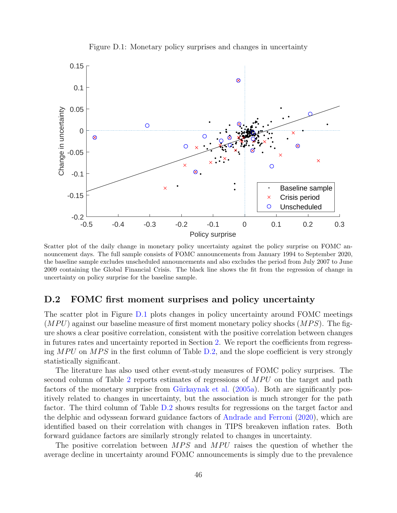

<span id="page-47-1"></span>Figure D.1: Monetary policy surprises and changes in uncertainty

Scatter plot of the daily change in monetary policy uncertainty against the policy surprise on FOMC announcement days. The full sample consists of FOMC announcements from January 1994 to September 2020, the baseline sample excludes unscheduled announcements and also excludes the period from July 2007 to June 2009 containing the Global Financial Crisis. The black line shows the fit from the regression of change in uncertainty on policy surprise for the baseline sample.

#### <span id="page-47-0"></span>D.2 FOMC first moment surprises and policy uncertainty

The scatter plot in Figure [D.1](#page-47-1) plots changes in policy uncertainty around FOMC meetings  $(MPU)$  against our baseline measure of first moment monetary policy shocks  $(MPS)$ . The figure shows a clear positive correlation, consistent with the positive correlation between changes in futures rates and uncertainty reported in Section [2.](#page-6-0) We report the coefficients from regressing  $MPU$  on  $MPS$  in the first column of Table [D.2,](#page-48-0) and the slope coefficient is very strongly statistically significant.

The literature has also used other event-study measures of FOMC policy surprises. The second column of Table [2](#page-13-0) reports estimates of regressions of  $MPU$  on the target and path factors of the monetary surprise from Gürkaynak et al.  $(2005a)$ . Both are significantly positively related to changes in uncertainty, but the association is much stronger for the path factor. The third column of Table [D.2](#page-48-0) shows results for regressions on the target factor and the delphic and odyssean forward guidance factors of [Andrade and Ferroni](#page-27-12) [\(2020\)](#page-27-12), which are identified based on their correlation with changes in TIPS breakeven inflation rates. Both forward guidance factors are similarly strongly related to changes in uncertainty.

The positive correlation between  $MPS$  and  $MPU$  raises the question of whether the average decline in uncertainty around FOMC announcements is simply due to the prevalence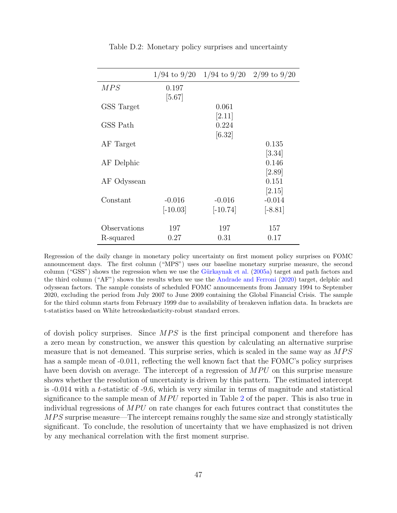|              |                        | $1/94$ to $9/20$ 1/94 to $9/20$ 2/99 to $9/20$ |                       |
|--------------|------------------------|------------------------------------------------|-----------------------|
| MPS          | 0.197<br>$[5.67]$      |                                                |                       |
| GSS Target   |                        | 0.061                                          |                       |
| GSS Path     |                        | [2.11]<br>0.224                                |                       |
|              |                        | [6.32]                                         |                       |
| AF Target    |                        |                                                | 0.135<br>[3.34]       |
| AF Delphic   |                        |                                                | 0.146                 |
| AF Odyssean  |                        |                                                | $[2.89]$<br>0.151     |
|              |                        |                                                | [2.15]                |
| Constant     | $-0.016$<br>$[-10.03]$ | $-0.016$<br>$[-10.74]$                         | $-0.014$<br>$[-8.81]$ |
| Observations | 197                    | 197                                            | 157                   |
| R-squared    | 0.27                   | 0.31                                           | 0.17                  |

<span id="page-48-0"></span>Table D.2: Monetary policy surprises and uncertainty

Regression of the daily change in monetary policy uncertainty on first moment policy surprises on FOMC announcement days. The first column ("MPS") uses our baseline monetary surprise measure, the second column ("GSS") shows the regression when we use the Gürkaynak et al.  $(2005a)$  target and path factors and the third column ("AF") shows the results when we use the [Andrade and Ferroni](#page-27-12) [\(2020\)](#page-27-12) target, delphic and odyssean factors. The sample consists of scheduled FOMC announcements from January 1994 to September 2020, excluding the period from July 2007 to June 2009 containing the Global Financial Crisis. The sample for the third column starts from February 1999 due to availability of breakeven inflation data. In brackets are t-statistics based on White hetreoskedasticity-robust standard errors.

of dovish policy surprises. Since  $MPS$  is the first principal component and therefore has a zero mean by construction, we answer this question by calculating an alternative surprise measure that is not demeaned. This surprise series, which is scaled in the same way as  $MPS$ has a sample mean of  $-0.011$ , reflecting the well known fact that the FOMC's policy surprises have been dovish on average. The intercept of a regression of  $MPU$  on this surprise measure shows whether the resolution of uncertainty is driven by this pattern. The estimated intercept is -0.014 with a t-statistic of -9.6, which is very similar in terms of magnitude and statistical significance to the sample mean of  $MPU$  reported in Table [2](#page-13-0) of the paper. This is also true in individual regressions of  $MPU$  on rate changes for each futures contract that constitutes the MPS surprise measure—The intercept remains roughly the same size and strongly statistically significant. To conclude, the resolution of uncertainty that we have emphasized is not driven by any mechanical correlation with the first moment surprise.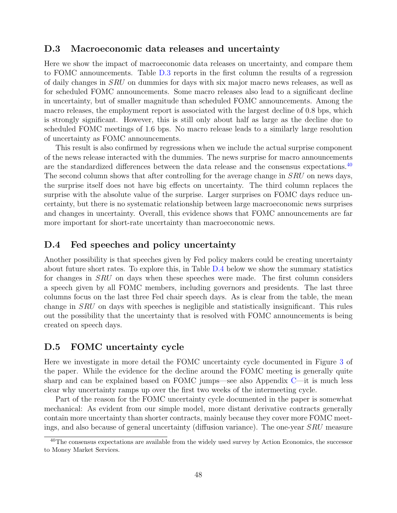#### <span id="page-49-0"></span>D.3 Macroeconomic data releases and uncertainty

Here we show the impact of macroeconomic data releases on uncertainty, and compare them to FOMC announcements. Table [D.3](#page-55-0) reports in the first column the results of a regression of daily changes in SRU on dummies for days with six major macro news releases, as well as for scheduled FOMC announcements. Some macro releases also lead to a significant decline in uncertainty, but of smaller magnitude than scheduled FOMC announcements. Among the macro releases, the employment report is associated with the largest decline of 0.8 bps, which is strongly significant. However, this is still only about half as large as the decline due to scheduled FOMC meetings of 1.6 bps. No macro release leads to a similarly large resolution of uncertainty as FOMC announcements.

This result is also confirmed by regressions when we include the actual surprise component of the news release interacted with the dummies. The news surprise for macro announcements are the standardized differences between the data release and the consensus expectations.<sup>[40](#page-49-3)</sup> The second column shows that after controlling for the average change in SRU on news days, the surprise itself does not have big effects on uncertainty. The third column replaces the surprise with the absolute value of the surprise. Larger surprises on FOMC days reduce uncertainty, but there is no systematic relationship between large macroeconomic news surprises and changes in uncertainty. Overall, this evidence shows that FOMC announcements are far more important for short-rate uncertainty than macroeconomic news.

#### <span id="page-49-1"></span>D.4 Fed speeches and policy uncertainty

Another possibility is that speeches given by Fed policy makers could be creating uncertainty about future short rates. To explore this, in Table [D.4](#page-56-0) below we show the summary statistics for changes in SRU on days when these speeches were made. The first column considers a speech given by all FOMC members, including governors and presidents. The last three columns focus on the last three Fed chair speech days. As is clear from the table, the mean change in SRU on days with speeches is negligible and statistically insignificant. This rules out the possibility that the uncertainty that is resolved with FOMC announcements is being created on speech days.

#### <span id="page-49-2"></span>D.5 FOMC uncertainty cycle

Here we investigate in more detail the FOMC uncertainty cycle documented in Figure [3](#page-16-0) of the paper. While the evidence for the decline around the FOMC meeting is generally quite sharp and can be explained based on FOMC jumps—see also Appendix [C—](#page-40-0)it is much less clear why uncertainty ramps up over the first two weeks of the intermeeting cycle.

Part of the reason for the FOMC uncertainty cycle documented in the paper is somewhat mechanical: As evident from our simple model, more distant derivative contracts generally contain more uncertainty than shorter contracts, mainly because they cover more FOMC meetings, and also because of general uncertainty (diffusion variance). The one-year SRU measure

<span id="page-49-3"></span><sup>&</sup>lt;sup>40</sup>The consensus expectations are available from the widely used survey by Action Economics, the successor to Money Market Services.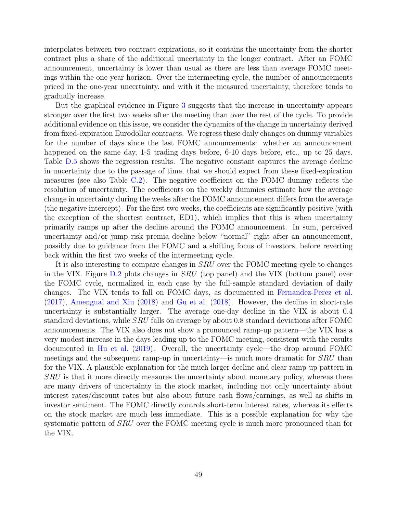interpolates between two contract expirations, so it contains the uncertainty from the shorter contract plus a share of the additional uncertainty in the longer contract. After an FOMC announcement, uncertainty is lower than usual as there are less than average FOMC meetings within the one-year horizon. Over the intermeeting cycle, the number of announcements priced in the one-year uncertainty, and with it the measured uncertainty, therefore tends to gradually increase.

But the graphical evidence in Figure [3](#page-16-0) suggests that the increase in uncertainty appears stronger over the first two weeks after the meeting than over the rest of the cycle. To provide additional evidence on this issue, we consider the dynamics of the change in uncertainty derived from fixed-expiration Eurodollar contracts. We regress these daily changes on dummy variables for the number of days since the last FOMC announcements: whether an announcement happened on the same day, 1-5 trading days before, 6-10 days before, etc., up to 25 days. Table [D.5](#page-56-1) shows the regression results. The negative constant captures the average decline in uncertainty due to the passage of time, that we should expect from these fixed-expiration measures (see also Table [C.2\)](#page-42-0). The negative coefficient on the FOMC dummy reflects the resolution of uncertainty. The coefficients on the weekly dummies estimate how the average change in uncertainty during the weeks after the FOMC announcement differs from the average (the negative intercept). For the first two weeks, the coefficients are significantly positive (with the exception of the shortest contract, ED1), which implies that this is when uncertainty primarily ramps up after the decline around the FOMC announcement. In sum, perceived uncertainty and/or jump risk premia decline below "normal" right after an announcement, possibly due to guidance from the FOMC and a shifting focus of investors, before reverting back within the first two weeks of the intermeeting cycle.

It is also interesting to compare changes in *SRU* over the FOMC meeting cycle to changes in the VIX. Figure [D.2](#page-51-1) plots changes in SRU (top panel) and the VIX (bottom panel) over the FOMC cycle, normalized in each case by the full-sample standard deviation of daily changes. The VIX tends to fall on FOMC days, as documented in [Fernandez-Perez et al.](#page-29-3) [\(2017\)](#page-29-3), [Amengual and Xiu](#page-27-2) [\(2018\)](#page-27-2) and [Gu et al.](#page-29-4) [\(2018\)](#page-29-4). However, the decline in short-rate uncertainty is substantially larger. The average one-day decline in the VIX is about 0.4 standard deviations, while SRU falls on average by about 0.8 standard deviations after FOMC announcements. The VIX also does not show a pronounced ramp-up pattern—the VIX has a very modest increase in the days leading up to the FOMC meeting, consistent with the results documented in [Hu et al.](#page-29-7) [\(2019\)](#page-29-7). Overall, the uncertainty cycle—the drop around FOMC meetings and the subsequent ramp-up in uncertainty—is much more dramatic for *SRU* than for the VIX. A plausible explanation for the much larger decline and clear ramp-up pattern in SRU is that it more directly measures the uncertainty about monetary policy, whereas there are many drivers of uncertainty in the stock market, including not only uncertainty about interest rates/discount rates but also about future cash flows/earnings, as well as shifts in investor sentiment. The FOMC directly controls short-term interest rates, whereas its effects on the stock market are much less immediate. This is a possible explanation for why the systematic pattern of *SRU* over the FOMC meeting cycle is much more pronounced than for the VIX.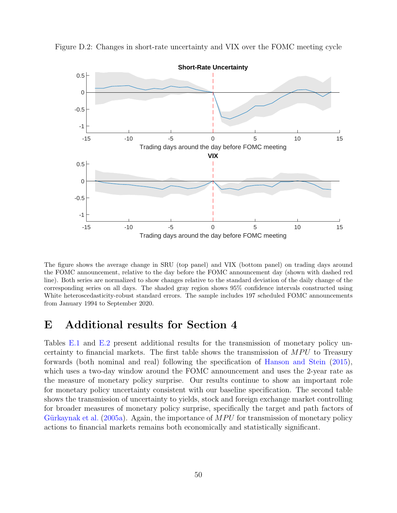<span id="page-51-1"></span>

Figure D.2: Changes in short-rate uncertainty and VIX over the FOMC meeting cycle

The figure shows the average change in SRU (top panel) and VIX (bottom panel) on trading days around the FOMC announcement, relative to the day before the FOMC announcement day (shown with dashed red line). Both series are normalized to show changes relative to the standard deviation of the daily change of the corresponding series on all days. The shaded gray region shows 95% confidence intervals constructed using White heteroscedasticity-robust standard errors. The sample includes 197 scheduled FOMC announcements from January 1994 to September 2020.

# <span id="page-51-0"></span>E Additional results for Section 4

Tables [E.1](#page-57-0) and [E.2](#page-57-1) present additional results for the transmission of monetary policy uncertainty to financial markets. The first table shows the transmission of  $MPU$  to Treasury forwards (both nominal and real) following the specification of [Hanson and Stein](#page-29-1) [\(2015\)](#page-29-1), which uses a two-day window around the FOMC announcement and uses the 2-year rate as the measure of monetary policy surprise. Our results continue to show an important role for monetary policy uncertainty consistent with our baseline specification. The second table shows the transmission of uncertainty to yields, stock and foreign exchange market controlling for broader measures of monetary policy surprise, specifically the target and path factors of Gürkaynak et al. [\(2005a\)](#page-29-0). Again, the importance of  $MPU$  for transmission of monetary policy actions to financial markets remains both economically and statistically significant.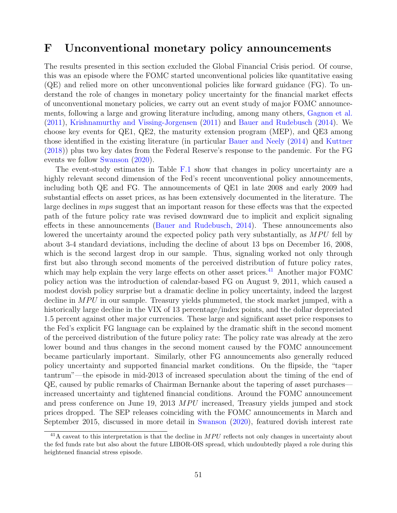### <span id="page-52-0"></span>F Unconventional monetary policy announcements

The results presented in this section excluded the Global Financial Crisis period. Of course, this was an episode where the FOMC started unconventional policies like quantitative easing (QE) and relied more on other unconventional policies like forward guidance (FG). To understand the role of changes in monetary policy uncertainty for the financial market effects of unconventional monetary policies, we carry out an event study of major FOMC announcements, following a large and growing literature including, among many others, [Gagnon et al.](#page-29-13) [\(2011\)](#page-29-13), [Krishnamurthy and Vissing-Jorgensen](#page-30-12) [\(2011\)](#page-30-12) and [Bauer and Rudebusch](#page-27-9) [\(2014\)](#page-27-9). We choose key events for QE1, QE2, the maturity extension program (MEP), and QE3 among those identified in the existing literature (in particular [Bauer and Neely](#page-27-13) [\(2014\)](#page-27-13) and [Kuttner](#page-30-13) [\(2018\)](#page-30-13)) plus two key dates from the Federal Reserve's response to the pandemic. For the FG events we follow [Swanson](#page-31-6) [\(2020\)](#page-31-6).

The event-study estimates in Table [F.1](#page-58-0) show that changes in policy uncertainty are a highly relevant second dimension of the Fed's recent unconventional policy announcements, including both QE and FG. The announcements of QE1 in late 2008 and early 2009 had substantial effects on asset prices, as has been extensively documented in the literature. The large declines in *mps* suggest that an important reason for these effects was that the expected path of the future policy rate was revised downward due to implicit and explicit signaling effects in these announcements [\(Bauer and Rudebusch,](#page-27-9) [2014\)](#page-27-9). These announcements also lowered the uncertainty around the expected policy path very substantially, as  $MPU$  fell by about 3-4 standard deviations, including the decline of about 13 bps on December 16, 2008, which is the second largest drop in our sample. Thus, signaling worked not only through first but also through second moments of the perceived distribution of future policy rates, which may help explain the very large effects on other asset prices.<sup>[41](#page-52-1)</sup> Another major FOMC policy action was the introduction of calendar-based FG on August 9, 2011, which caused a modest dovish policy surprise but a dramatic decline in policy uncertainty, indeed the largest decline in  $MPU$  in our sample. Treasury yields plummeted, the stock market jumped, with a historically large decline in the VIX of 13 percentage/index points, and the dollar depreciated 1.5 percent against other major currencies. These large and significant asset price responses to the Fed's explicit FG language can be explained by the dramatic shift in the second moment of the perceived distribution of the future policy rate: The policy rate was already at the zero lower bound and thus changes in the second moment caused by the FOMC announcement became particularly important. Similarly, other FG announcements also generally reduced policy uncertainty and supported financial market conditions. On the flipside, the "taper tantrum"—the episode in mid-2013 of increased speculation about the timing of the end of QE, caused by public remarks of Chairman Bernanke about the tapering of asset purchases increased uncertainty and tightened financial conditions. Around the FOMC announcement and press conference on June 19, 2013  $MPU$  increased, Treasury yields jumped and stock prices dropped. The SEP releases coinciding with the FOMC announcements in March and September 2015, discussed in more detail in [Swanson](#page-31-6) [\(2020\)](#page-31-6), featured dovish interest rate

<span id="page-52-1"></span> $^{41}$ A caveat to this interpretation is that the decline in  $MPU$  reflects not only changes in uncertainty about the fed funds rate but also about the future LIBOR-OIS spread, which undoubtedly played a role during this heightened financial stress episode.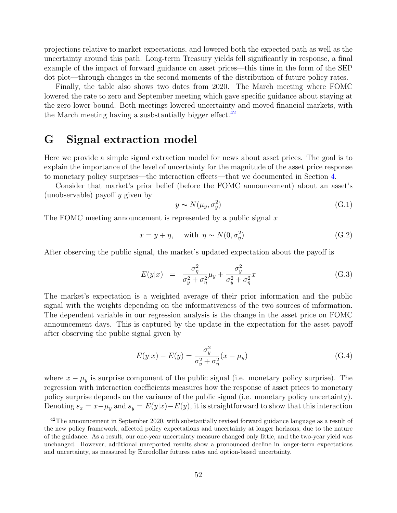projections relative to market expectations, and lowered both the expected path as well as the uncertainty around this path. Long-term Treasury yields fell significantly in response, a final example of the impact of forward guidance on asset prices—this time in the form of the SEP dot plot—through changes in the second moments of the distribution of future policy rates.

Finally, the table also shows two dates from 2020. The March meeting where FOMC lowered the rate to zero and September meeting which gave specific guidance about staying at the zero lower bound. Both meetings lowered uncertainty and moved financial markets, with the March meeting having a susbstantially bigger effect.  $42$ 

## <span id="page-53-0"></span>G Signal extraction model

Here we provide a simple signal extraction model for news about asset prices. The goal is to explain the importance of the level of uncertainty for the magnitude of the asset price response to monetary policy surprises—the interaction effects—that we documented in Section [4.](#page-20-0)

Consider that market's prior belief (before the FOMC announcement) about an asset's (unobservable) payoff y given by

$$
y \sim N(\mu_y, \sigma_y^2) \tag{G.1}
$$

The FOMC meeting announcement is represented by a public signal  $x$ 

$$
x = y + \eta, \quad \text{with } \eta \sim N(0, \sigma_{\eta}^2) \tag{G.2}
$$

After observing the public signal, the market's updated expectation about the payoff is

$$
E(y|x) = \frac{\sigma_{\eta}^2}{\sigma_y^2 + \sigma_{\eta}^2} \mu_y + \frac{\sigma_y^2}{\sigma_y^2 + \sigma_{\eta}^2} x \tag{G.3}
$$

The market's expectation is a weighted average of their prior information and the public signal with the weights depending on the informativeness of the two sources of information. The dependent variable in our regression analysis is the change in the asset price on FOMC announcement days. This is captured by the update in the expectation for the asset payoff after observing the public signal given by

$$
E(y|x) - E(y) = \frac{\sigma_y^2}{\sigma_y^2 + \sigma_\eta^2} (x - \mu_y)
$$
 (G.4)

where  $x - \mu_y$  is surprise component of the public signal (i.e. monetary policy surprise). The regression with interaction coefficients measures how the response of asset prices to monetary policy surprise depends on the variance of the public signal (i.e. monetary policy uncertainty). Denoting  $s_x = x - \mu_y$  and  $s_y = E(y|x) - E(y)$ , it is straightforward to show that this interaction

<span id="page-53-1"></span><sup>&</sup>lt;sup>42</sup>The announcement in September 2020, with substantially revised forward guidance language as a result of the new policy framework, affected policy expectations and uncertainty at longer horizons, due to the nature of the guidance. As a result, our one-year uncertainty measure changed only little, and the two-year yield was unchanged. However, additional unreported results show a pronounced decline in longer-term expectations and uncertainty, as measured by Eurodollar futures rates and option-based uncertainty.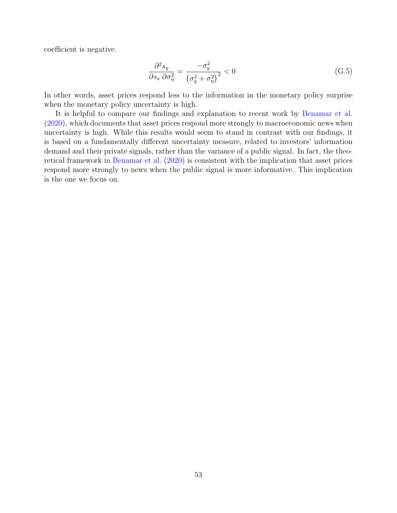coefficient is negative.

$$
\frac{\partial^2 s_y}{\partial s_x \partial \sigma_\eta^2} = \frac{-\sigma_y^2}{\left(\sigma_y^2 + \sigma_\eta^2\right)^2} < 0 \tag{G.5}
$$

In other words, asset prices respond less to the information in the monetary policy surprise when the monetary policy uncertainty is high.

It is helpful to compare our findings and explanation to recent work by [Benamar et al.](#page-27-3) [\(2020\)](#page-27-3), which documents that asset prices respond more strongly to macroeconomic news when uncertainty is high. While this results would seem to stand in contrast with our findings, it is based on a fundamentally different uncertainty measure, related to investors' information demand and their private signals, rather than the variance of a public signal. In fact, the theoretical framework in [Benamar et al.](#page-27-3) [\(2020\)](#page-27-3) is consistent with the implication that asset prices respond more strongly to news when the public signal is more informative. This implication is the one we focus on.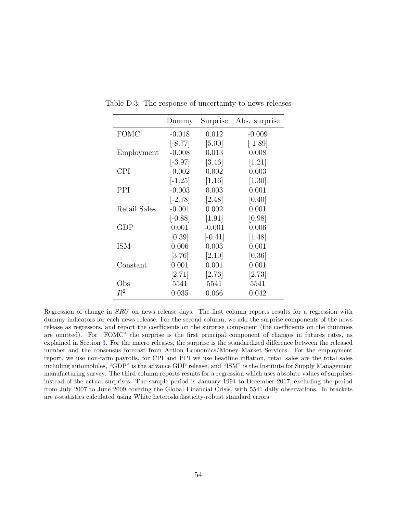<span id="page-55-0"></span>

|                   | Dummy     | Surprise  | Abs. surprise |
|-------------------|-----------|-----------|---------------|
| <b>FOMC</b>       | $-0.018$  | 0.012     | $-0.009$      |
|                   | $[-8.77]$ | $[5.00]$  | $[-1.89]$     |
| Employment        | $-0.008$  | 0.013     | 0.008         |
|                   | $[-3.97]$ | [3.46]    | $[1.21]$      |
| CPI               | $-0.002$  | 0.002     | 0.003         |
|                   | $[-1.25]$ | $[1.16]$  | $[1.30]$      |
| PPI               | $-0.003$  | 0.003     | 0.001         |
|                   | $[-2.78]$ | [2.48]    | [0.40]        |
| Retail Sales      | $-0.001$  | 0.002     | 0.001         |
|                   | $[-0.88]$ | [1.91]    | [0.98]        |
| GDP               | 0.001     | $-0.001$  | 0.006         |
|                   | [0.39]    | $[-0.41]$ | [1.48]        |
| ISM               | 0.006     | 0.003     | 0.001         |
|                   | [3.76]    | [2.10]    | [0.36]        |
| $\text{Constant}$ | 0.001     | 0.001     | 0.001         |
|                   | [2.71]    | [2.76]    | [2.73]        |
| Obs               | 5541      | 5541      | 5541          |
| $R^2$             | 0.035     | 0.066     | 0.042         |

Table D.3: The response of uncertainty to news releases

Regression of change in SRU on news release days. The first column reports results for a regression with dummy indicators for each news release. For the second column, we add the surprise components of the news release as regressors, and report the coefficients on the surprise component (the coefficients on the dummies are omitted). For "FOMC" the surprise is the first principal component of changes in futures rates, as explained in Section [3.](#page-11-2) For the macro releases, the surprise is the standardized difference between the released number and the consensus forecast from Action Economics/Money Market Services. For the employment report, we use non-farm payrolls, for CPI and PPI we use headline inflation, retail sales are the total sales including automobiles, "GDP" is the advance GDP release, and "ISM" is the Institute for Supply Management manufacturing survey. The third column reports results for a regression which uses absolute values of surprises instead of the actual surprises. The sample period is January 1994 to December 2017, excluding the period from July 2007 to June 2009 covering the Global Financial Crisis, with 5541 daily observations. In brackets are t-statistics calculated using White heteroskedasticity-robust standard errors.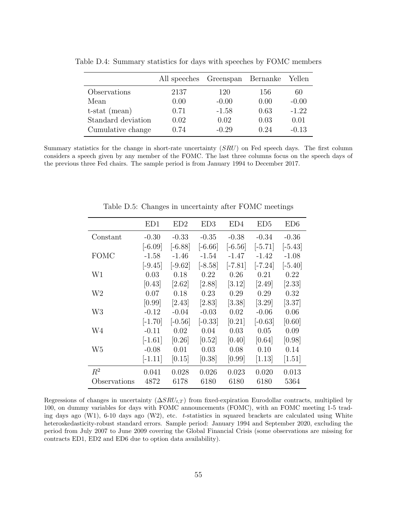<span id="page-56-0"></span>

|                    | All speeches Greenspan Bernanke |         |      | Yellen  |
|--------------------|---------------------------------|---------|------|---------|
| Observations       | 2137                            | 120     | 156  | 60      |
| Mean               | 0.00                            | $-0.00$ | 0.00 | $-0.00$ |
| $t$ -stat (mean)   | 0.71                            | $-1.58$ | 0.63 | $-1.22$ |
| Standard deviation | 0.02                            | 0.02    | 0.03 | 0.01    |
| Cumulative change  | 0.74                            | $-0.29$ | 0.24 | $-0.13$ |

Table D.4: Summary statistics for days with speeches by FOMC members

Summary statistics for the change in short-rate uncertainty (SRU) on Fed speech days. The first column considers a speech given by any member of the FOMC. The last three columns focus on the speech days of the previous three Fed chairs. The sample period is from January 1994 to December 2017.

|              | ED1       | ED2       | ED3       | ED4       | ED5       | ED6       |
|--------------|-----------|-----------|-----------|-----------|-----------|-----------|
| Constant     | $-0.30$   | $-0.33$   | $-0.35$   | $-0.38$   | $-0.34$   | $-0.36$   |
|              | $[-6.09]$ | $[-6.88]$ | $[-6.66]$ | $[-6.56]$ | $[-5.71]$ | $[-5.43]$ |
| FOMC         | $-1.58$   | $-1.46$   | $-1.54$   | $-1.47$   | $-1.42$   | $-1.08$   |
|              | $[-9.45]$ | $[-9.62]$ | $[-8.58]$ | $[-7.81]$ | $[-7.24]$ | $[-5.40]$ |
| W1           | 0.03      | 0.18      | 0.22      | 0.26      | 0.21      | 0.22      |
|              | [0.43]    | $[2.62]$  | [2.88]    | [3.12]    | [2.49]    | $[2.33]$  |
| W2           | 0.07      | 0.18      | 0.23      | 0.29      | 0.29      | 0.32      |
|              | [0.99]    | [2.43]    | [2.83]    | [3.38]    | $[3.29]$  | [3.37]    |
| W3           | $-0.12$   | $-0.04$   | $-0.03$   | 0.02      | $-0.06$   | 0.06      |
|              | $[-1.70]$ | $[-0.56]$ | $[-0.33]$ | [0.21]    | $[-0.63]$ | [0.60]    |
| W4           | $-0.11$   | 0.02      | 0.04      | 0.03      | 0.05      | 0.09      |
|              | $[-1.61]$ | [0.26]    | [0.52]    | [0.40]    | [0.64]    | [0.98]    |
| W5           | $-0.08$   | 0.01      | 0.03      | 0.08      | 0.10      | 0.14      |
|              | $[-1.11]$ | 0.15      | [0.38]    | [0.99]    | [1.13]    | [1.51]    |
| $R^2$        | 0.041     | 0.028     | 0.026     | 0.023     | 0.020     | 0.013     |
| Observations | 4872      | 6178      | 6180      | 6180      | 6180      | 5364      |

<span id="page-56-1"></span>Table D.5: Changes in uncertainty after FOMC meetings

Regressions of changes in uncertainty  $(\Delta SRU_{t,T})$  from fixed-expiration Eurodollar contracts, multiplied by 100, on dummy variables for days with FOMC announcements (FOMC), with an FOMC meeting 1-5 trading days ago (W1), 6-10 days ago (W2), etc.  $t$ -statistics in squared brackets are calculated using White heteroskedasticity-robust standard errors. Sample period: January 1994 and September 2020, excluding the period from July 2007 to June 2009 covering the Global Financial Crisis (some observations are missing for contracts ED1, ED2 and ED6 due to option data availability).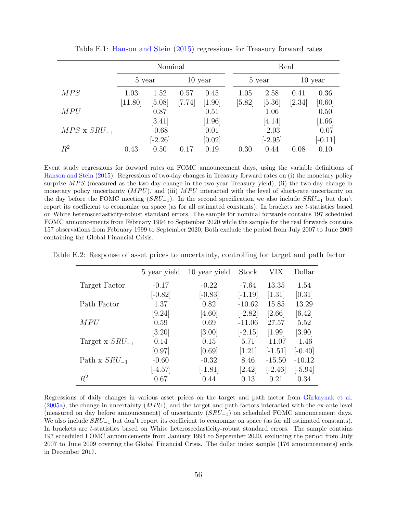|                       |         | Nominal   |           |        | Real     |           |           |           |  |
|-----------------------|---------|-----------|-----------|--------|----------|-----------|-----------|-----------|--|
|                       | 5 year  |           | $10$ year |        | 5 year   |           | $10$ year |           |  |
| MPS                   | 1.03    | 1.52      | 0.57      | 0.45   | 1.05     | 2.58      | 0.41      | 0.36      |  |
|                       | [11.80] | $[5.08]$  | [7.74]    | [1.90] | $[5.82]$ | [5.36]    | [2.34]    | [0.60]    |  |
| MPU                   |         | 0.87      |           | 0.51   |          | 1.06      |           | 0.50      |  |
|                       |         | [3.41]    |           | [1.96] |          | [4.14]    |           | [1.66]    |  |
| $MPS \times SRU_{-1}$ |         | $-0.68$   |           | 0.01   |          | $-2.03$   |           | $-0.07$   |  |
|                       |         | $[-2.26]$ |           | [0.02] |          | $[-2.95]$ |           | $[-0.11]$ |  |
| $R^2$                 | 0.43    | 0.50      | 0.17      | 0.19   | 0.30     | 0.44      | 0.08      | 0.10      |  |

<span id="page-57-0"></span>Table E.1: [Hanson and Stein](#page-29-1) [\(2015\)](#page-29-1) regressions for Treasury forward rates

Event study regressions for forward rates on FOMC announcement days, using the variable definitions of [Hanson and Stein](#page-29-1) [\(2015\)](#page-29-1). Regressions of two-day changes in Treasury forward rates on (i) the monetary policy surprise  $MPS$  (measured as the two-day change in the two-year Treasury yield), (ii) the two-day change in monetary policy uncertainty  $(MPU)$ , and (iii)  $MPU$  interacted with the level of short-rate uncertainty on the day before the FOMC meeting  $(SRU_{-1})$ . In the second specification we also include  $SRU_{-1}$  but don't report its coefficient to economize on space (as for all estimated constants). In brackets are t-statistics based on White heteroscedasticity-robust standard errors. The sample for nominal forwards contains 197 scheduled FOMC announcements from February 1994 to September 2020 while the sample for the real forwards contains 157 observations from February 1999 to September 2020, Both exclude the period from July 2007 to June 2009 containing the Global Financial Crisis.

Table E.2: Response of asset prices to uncertainty, controlling for target and path factor

<span id="page-57-1"></span>

|                     | 5 year yield | 10 year yield | Stock     | VIX       | Dollar    |
|---------------------|--------------|---------------|-----------|-----------|-----------|
| Target Factor       | $-0.17$      | $-0.22$       | $-7.64$   | 13.35     | 1.54      |
|                     | $[-0.82]$    | $[-0.83]$     | $[-1.19]$ | $[1.31]$  | [0.31]    |
| Path Factor         | 1.37         | 0.82          | $-10.62$  | 15.85     | 13.29     |
|                     | [9.24]       | $[4.60]$      | $[-2.82]$ | [2.66]    | [6.42]    |
| <i>MPU</i>          | 0.59         | 0.69          | $-11.06$  | 27.57     | 5.52      |
|                     | $[3.20]$     | [3.00]        | $[-2.15]$ | [1.99]    | [3.90]    |
| Target x $SRU_{-1}$ | 0.14         | 0.15          | 5.71      | $-11.07$  | $-1.46$   |
|                     | [0.97]       | [0.69]        | [1.21]    | $[-1.51]$ | $[-0.40]$ |
| Path x $SRU_{-1}$   | $-0.60$      | $-0.32$       | 8.46      | $-15.50$  | $-10.12$  |
|                     | $[-4.57]$    | $[-1.81]$     | [2.42]    | $[-2.46]$ | $[-5.94]$ |
| $R^2$               | 0.67         | 0.44          | 0.13      | 0.21      | 0.34      |

Regressions of daily changes in various asset prices on the target and path factor from Gürkaynak et al.  $(2005a)$ , the change in uncertainty  $(MPU)$ , and the target and path factors interacted with the ex-ante level (measured on day before announcement) of uncertainty  $(SRU_{-1})$  on scheduled FOMC announcement days. We also include  $SRU_{-1}$  but don't report its coefficient to economize on space (as for all estimated constants). In brackets are t-statistics based on White heteroscedasticity-robust standard errors. The sample contains 197 scheduled FOMC announcements from January 1994 to September 2020, excluding the period from July 2007 to June 2009 covering the Global Financial Crisis. The dollar index sample (176 announcements) ends in December 2017.